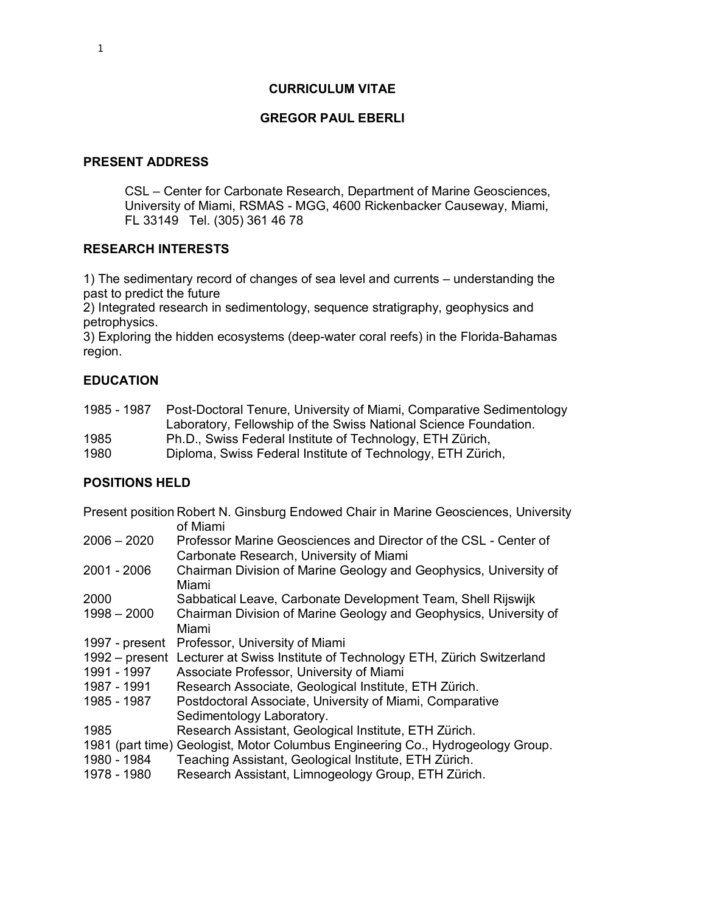## **CURRICULUM VITAE**

## **GREGOR PAUL EBERLI**

## **PRESENT ADDRESS**

CSL – Center for Carbonate Research, Department of Marine Geosciences, University of Miami, RSMAS - MGG, 4600 Rickenbacker Causeway, Miami, FL 33149 Tel. (305) 361 46 78

# **RESEARCH INTERESTS**

1) The sedimentary record of changes of sea level and currents – understanding the past to predict the future

2) Integrated research in sedimentology, sequence stratigraphy, geophysics and petrophysics.

3) Exploring the hidden ecosystems (deep-water coral reefs) in the Florida-Bahamas region.

# **EDUCATION**

|      | 1985 - 1987 Post-Doctoral Tenure, University of Miami, Comparative Sedimentology |
|------|----------------------------------------------------------------------------------|
|      | Laboratory, Fellowship of the Swiss National Science Foundation.                 |
| 1985 | Ph.D., Swiss Federal Institute of Technology, ETH Zürich,                        |
| 1980 | Diploma, Swiss Federal Institute of Technology, ETH Zürich,                      |

# **POSITIONS HELD**

Present position Robert N. Ginsburg Endowed Chair in Marine Geosciences, University of Miami 2006 – 2020 Professor Marine Geosciences and Director of the CSL - Center of Carbonate Research, University of Miami 2001 - 2006 Chairman Division of Marine Geology and Geophysics, University of Miami 2000 Sabbatical Leave, Carbonate Development Team, Shell Rijswijk 1998 – 2000 Chairman Division of Marine Geology and Geophysics, University of Miami 1997 - present Professor, University of Miami 1992 – present Lecturer at Swiss Institute of Technology ETH, Zürich Switzerland 1991 - 1997 Associate Professor, University of Miami 1987 - 1991 Research Associate, Geological Institute, ETH Zürich. 1985 - 1987 Postdoctoral Associate, University of Miami, Comparative Sedimentology Laboratory. 1985 Research Assistant, Geological Institute, ETH Zürich. 1981 (part time) Geologist, Motor Columbus Engineering Co., Hydrogeology Group. 1980 - 1984 Teaching Assistant, Geological Institute, ETH Zürich. 1978 - 1980 Research Assistant, Limnogeology Group, ETH Zürich.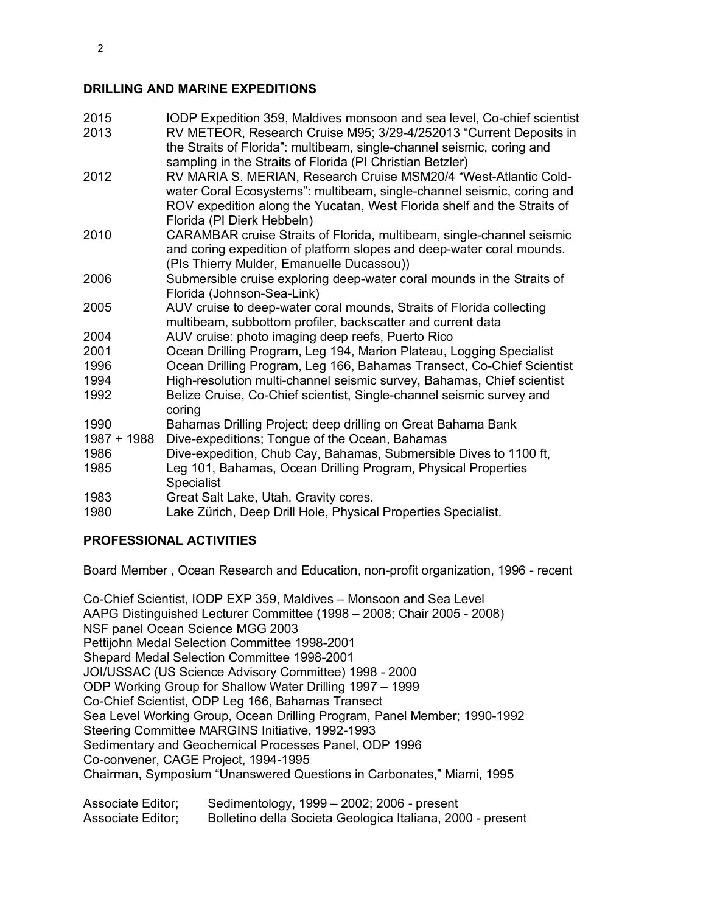# **DRILLING AND MARINE EXPEDITIONS**

| 2015          | IODP Expedition 359, Maldives monsoon and sea level, Co-chief scientist |
|---------------|-------------------------------------------------------------------------|
| 2013          | RV METEOR, Research Cruise M95; 3/29-4/252013 "Current Deposits in      |
|               | the Straits of Florida": multibeam, single-channel seismic, coring and  |
|               | sampling in the Straits of Florida (PI Christian Betzler)               |
| 2012          | RV MARIA S. MERIAN, Research Cruise MSM20/4 "West-Atlantic Cold-        |
|               | water Coral Ecosystems": multibeam, single-channel seismic, coring and  |
|               | ROV expedition along the Yucatan, West Florida shelf and the Straits of |
|               | Florida (PI Dierk Hebbeln)                                              |
| 2010          | CARAMBAR cruise Straits of Florida, multibeam, single-channel seismic   |
|               | and coring expedition of platform slopes and deep-water coral mounds.   |
|               | (PIs Thierry Mulder, Emanuelle Ducassou))                               |
| 2006          | Submersible cruise exploring deep-water coral mounds in the Straits of  |
|               | Florida (Johnson-Sea-Link)                                              |
| 2005          | AUV cruise to deep-water coral mounds, Straits of Florida collecting    |
|               | multibeam, subbottom profiler, backscatter and current data             |
| 2004          | AUV cruise: photo imaging deep reefs, Puerto Rico                       |
| 2001          | Ocean Drilling Program, Leg 194, Marion Plateau, Logging Specialist     |
| 1996          | Ocean Drilling Program, Leg 166, Bahamas Transect, Co-Chief Scientist   |
| 1994          | High-resolution multi-channel seismic survey, Bahamas, Chief scientist  |
| 1992          | Belize Cruise, Co-Chief scientist, Single-channel seismic survey and    |
|               | coring                                                                  |
| 1990          | Bahamas Drilling Project; deep drilling on Great Bahama Bank            |
| $1987 + 1988$ | Dive-expeditions; Tongue of the Ocean, Bahamas                          |
| 1986          | Dive-expedition, Chub Cay, Bahamas, Submersible Dives to 1100 ft,       |
| 1985          | Leg 101, Bahamas, Ocean Drilling Program, Physical Properties           |
|               | <b>Specialist</b>                                                       |
| 1983          | Great Salt Lake, Utah, Gravity cores.                                   |
| 1980          | Lake Zürich, Deep Drill Hole, Physical Properties Specialist.           |
|               |                                                                         |

# **PROFESSIONAL ACTIVITIES**

Board Member , Ocean Research and Education, non-profit organization, 1996 - recent

Co-Chief Scientist, IODP EXP 359, Maldives – Monsoon and Sea Level AAPG Distinguished Lecturer Committee (1998 – 2008; Chair 2005 - 2008) NSF panel Ocean Science MGG 2003 Pettijohn Medal Selection Committee 1998-2001 Shepard Medal Selection Committee 1998-2001 JOI/USSAC (US Science Advisory Committee) 1998 - 2000 ODP Working Group for Shallow Water Drilling 1997 – 1999 Co-Chief Scientist, ODP Leg 166, Bahamas Transect Sea Level Working Group, Ocean Drilling Program, Panel Member; 1990-1992 Steering Committee MARGINS Initiative, 1992-1993 Sedimentary and Geochemical Processes Panel, ODP 1996 Co-convener, CAGE Project, 1994-1995 Chairman, Symposium "Unanswered Questions in Carbonates," Miami, 1995

Associate Editor; Sedimentology, 1999 - 2002; 2006 - present Associate Editor; Bolletino della Societa Geologica Italiana, 2000 - present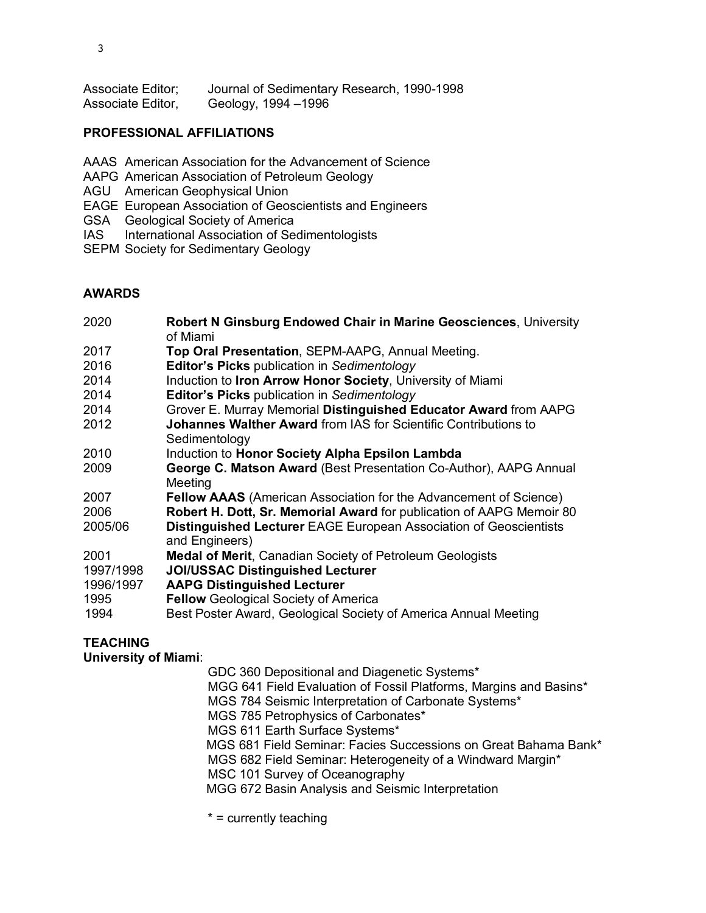| Associate Editor; | Journal of Sedimentary Research, 1990-1998 |
|-------------------|--------------------------------------------|
| Associate Editor, | Geology, 1994 - 1996                       |

# **PROFESSIONAL AFFILIATIONS**

- AAAS American Association for the Advancement of Science
- AAPG American Association of Petroleum Geology
- AGU American Geophysical Union
- EAGE European Association of Geoscientists and Engineers
- GSA Geological Society of America
- IAS International Association of Sedimentologists
- SEPM Society for Sedimentary Geology

## **AWARDS**

 **Robert N Ginsburg Endowed Chair in Marine Geosciences**, University of Miami **Top Oral Presentation**, SEPM-AAPG, Annual Meeting. **Editor's Picks** publication in *Sedimentology* Induction to **Iron Arrow Honor Society**, University of Miami **Editor's Picks** publication in *Sedimentology* Grover E. Murray Memorial **Distinguished Educator Award** from AAPG **Johannes Walther Award** from IAS for Scientific Contributions to **Sedimentology**  Induction to **Honor Society Alpha Epsilon Lambda George C. Matson Award** (Best Presentation Co-Author), AAPG Annual Meeting **Fellow AAAS** (American Association for the Advancement of Science) **Robert H. Dott, Sr. Memorial Award** for publication of AAPG Memoir 80 2005/06 **Distinguished Lecturer** EAGE European Association of Geoscientists and Engineers) **Medal of Merit**, Canadian Society of Petroleum Geologists 1997/1998 **JOI/USSAC Distinguished Lecturer** 1996/1997 **AAPG Distinguished Lecturer Fellow** Geological Society of America 1994 Best Poster Award, Geological Society of America Annual Meeting

# **TEACHING**

## **University of Miami**:

- GDC 360 Depositional and Diagenetic Systems\* MGG 641 Field Evaluation of Fossil Platforms, Margins and Basins\* MGS 784 Seismic Interpretation of Carbonate Systems\* MGS 785 Petrophysics of Carbonates\* MGS 611 Earth Surface Systems\* MGS 681 Field Seminar: Facies Successions on Great Bahama Bank\* MGS 682 Field Seminar: Heterogeneity of a Windward Margin\* MSC 101 Survey of Oceanography MGG 672 Basin Analysis and Seismic Interpretation
- $* =$  currently teaching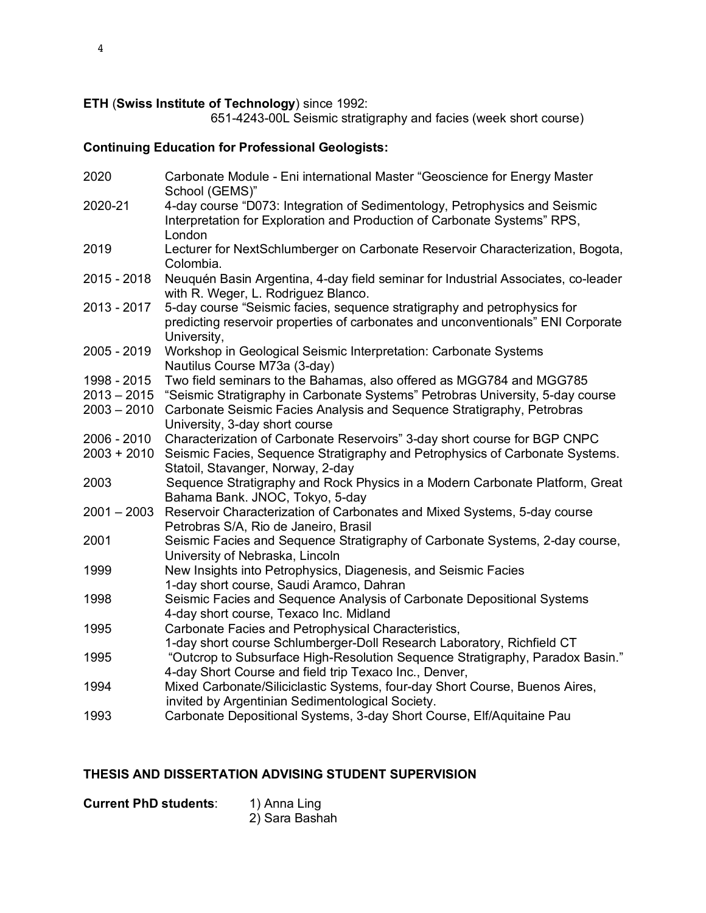# **ETH** (**Swiss Institute of Technology**) since 1992:

651-4243-00L Seismic stratigraphy and facies (week short course)

# **Continuing Education for Professional Geologists:**

| 2020          | Carbonate Module - Eni international Master "Geoscience for Energy Master<br>School (GEMS)"                                                                                 |
|---------------|-----------------------------------------------------------------------------------------------------------------------------------------------------------------------------|
| 2020-21       | 4-day course "D073: Integration of Sedimentology, Petrophysics and Seismic<br>Interpretation for Exploration and Production of Carbonate Systems" RPS,<br>London            |
| 2019          | Lecturer for NextSchlumberger on Carbonate Reservoir Characterization, Bogota,<br>Colombia.                                                                                 |
| 2015 - 2018   | Neuquén Basin Argentina, 4-day field seminar for Industrial Associates, co-leader<br>with R. Weger, L. Rodriguez Blanco.                                                    |
| 2013 - 2017   | 5-day course "Seismic facies, sequence stratigraphy and petrophysics for<br>predicting reservoir properties of carbonates and unconventionals" ENI Corporate<br>University, |
| 2005 - 2019   | Workshop in Geological Seismic Interpretation: Carbonate Systems<br>Nautilus Course M73a (3-day)                                                                            |
| 1998 - 2015   | Two field seminars to the Bahamas, also offered as MGG784 and MGG785                                                                                                        |
| $2013 - 2015$ | "Seismic Stratigraphy in Carbonate Systems" Petrobras University, 5-day course                                                                                              |
| $2003 - 2010$ | Carbonate Seismic Facies Analysis and Sequence Stratigraphy, Petrobras<br>University, 3-day short course                                                                    |
| 2006 - 2010   | Characterization of Carbonate Reservoirs" 3-day short course for BGP CNPC                                                                                                   |
| $2003 + 2010$ | Seismic Facies, Sequence Stratigraphy and Petrophysics of Carbonate Systems.<br>Statoil, Stavanger, Norway, 2-day                                                           |
| 2003          | Sequence Stratigraphy and Rock Physics in a Modern Carbonate Platform, Great<br>Bahama Bank. JNOC, Tokyo, 5-day                                                             |
| $2001 - 2003$ | Reservoir Characterization of Carbonates and Mixed Systems, 5-day course<br>Petrobras S/A, Rio de Janeiro, Brasil                                                           |
| 2001          | Seismic Facies and Sequence Stratigraphy of Carbonate Systems, 2-day course,<br>University of Nebraska, Lincoln                                                             |
| 1999          | New Insights into Petrophysics, Diagenesis, and Seismic Facies<br>1-day short course, Saudi Aramco, Dahran                                                                  |
| 1998          | Seismic Facies and Sequence Analysis of Carbonate Depositional Systems<br>4-day short course, Texaco Inc. Midland                                                           |
| 1995          | Carbonate Facies and Petrophysical Characteristics,<br>1-day short course Schlumberger-Doll Research Laboratory, Richfield CT                                               |
| 1995          | "Outcrop to Subsurface High-Resolution Sequence Stratigraphy, Paradox Basin."<br>4-day Short Course and field trip Texaco Inc., Denver,                                     |
| 1994          | Mixed Carbonate/Siliciclastic Systems, four-day Short Course, Buenos Aires,<br>invited by Argentinian Sedimentological Society.                                             |
| 1993          | Carbonate Depositional Systems, 3-day Short Course, Elf/Aquitaine Pau                                                                                                       |

# **THESIS AND DISSERTATION ADVISING STUDENT SUPERVISION**

| <b>Current PhD students:</b> | 1) Anna Ling   |
|------------------------------|----------------|
|                              | 2) Sara Bashah |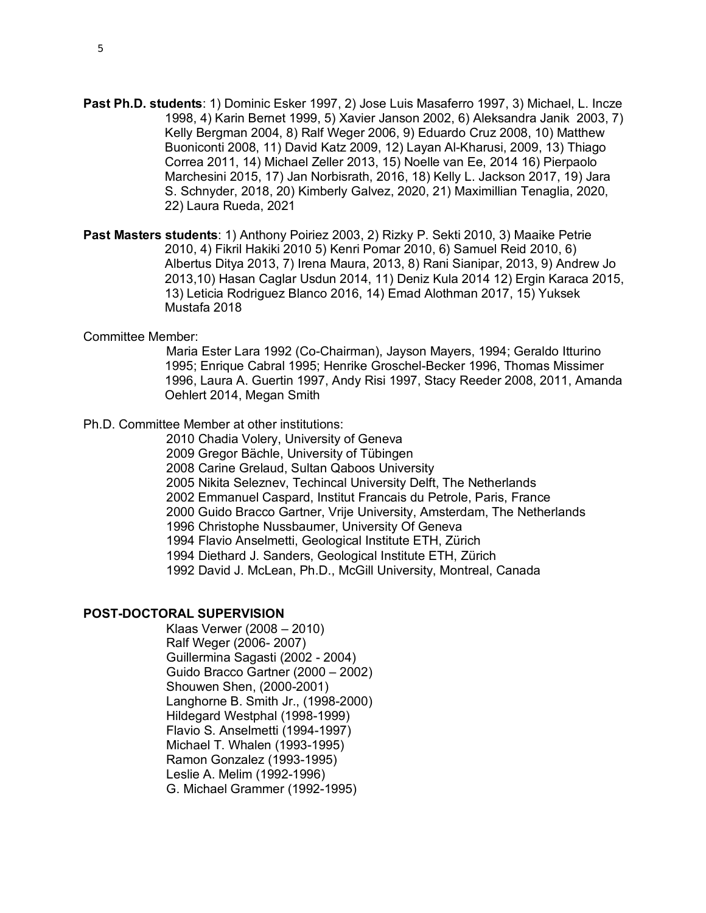- **Past Ph.D. students**: 1) Dominic Esker 1997, 2) Jose Luis Masaferro 1997, 3) Michael, L. Incze 1998, 4) Karin Bernet 1999, 5) Xavier Janson 2002, 6) Aleksandra Janik 2003, 7) Kelly Bergman 2004, 8) Ralf Weger 2006, 9) Eduardo Cruz 2008, 10) Matthew Buoniconti 2008, 11) David Katz 2009, 12) Layan Al-Kharusi, 2009, 13) Thiago Correa 2011, 14) Michael Zeller 2013, 15) Noelle van Ee, 2014 16) Pierpaolo Marchesini 2015, 17) Jan Norbisrath, 2016, 18) Kelly L. Jackson 2017, 19) Jara S. Schnyder, 2018, 20) Kimberly Galvez, 2020, 21) Maximillian Tenaglia, 2020, 22) Laura Rueda, 2021
- **Past Masters students**: 1) Anthony Poiriez 2003, 2) Rizky P. Sekti 2010, 3) Maaike Petrie 2010, 4) Fikril Hakiki 2010 5) Kenri Pomar 2010, 6) Samuel Reid 2010, 6) Albertus Ditya 2013, 7) Irena Maura, 2013, 8) Rani Sianipar, 2013, 9) Andrew Jo 2013,10) Hasan Caglar Usdun 2014, 11) Deniz Kula 2014 12) Ergin Karaca 2015, 13) Leticia Rodriguez Blanco 2016, 14) Emad Alothman 2017, 15) Yuksek Mustafa 2018

## Committee Member:

Maria Ester Lara 1992 (Co-Chairman), Jayson Mayers, 1994; Geraldo Itturino 1995; Enrique Cabral 1995; Henrike Groschel-Becker 1996, Thomas Missimer 1996, Laura A. Guertin 1997, Andy Risi 1997, Stacy Reeder 2008, 2011, Amanda Oehlert 2014, Megan Smith

## Ph.D. Committee Member at other institutions:

2010 Chadia Volery, University of Geneva

2009 Gregor Bächle, University of Tübingen

2008 Carine Grelaud, Sultan Qaboos University

2005 Nikita Seleznev, Techincal University Delft, The Netherlands

2002 Emmanuel Caspard, Institut Francais du Petrole, Paris, France

2000 Guido Bracco Gartner, Vrije University, Amsterdam, The Netherlands

1996 Christophe Nussbaumer, University Of Geneva

1994 Flavio Anselmetti, Geological Institute ETH, Zürich

1994 Diethard J. Sanders, Geological Institute ETH, Zürich

1992 David J. McLean, Ph.D., McGill University, Montreal, Canada

# **POST-DOCTORAL SUPERVISION**

Klaas Verwer (2008 – 2010) Ralf Weger (2006- 2007) Guillermina Sagasti (2002 - 2004) Guido Bracco Gartner (2000 – 2002) Shouwen Shen, (2000-2001) Langhorne B. Smith Jr., (1998-2000) Hildegard Westphal (1998-1999) Flavio S. Anselmetti (1994-1997) Michael T. Whalen (1993-1995) Ramon Gonzalez (1993-1995) Leslie A. Melim (1992-1996) G. Michael Grammer (1992-1995)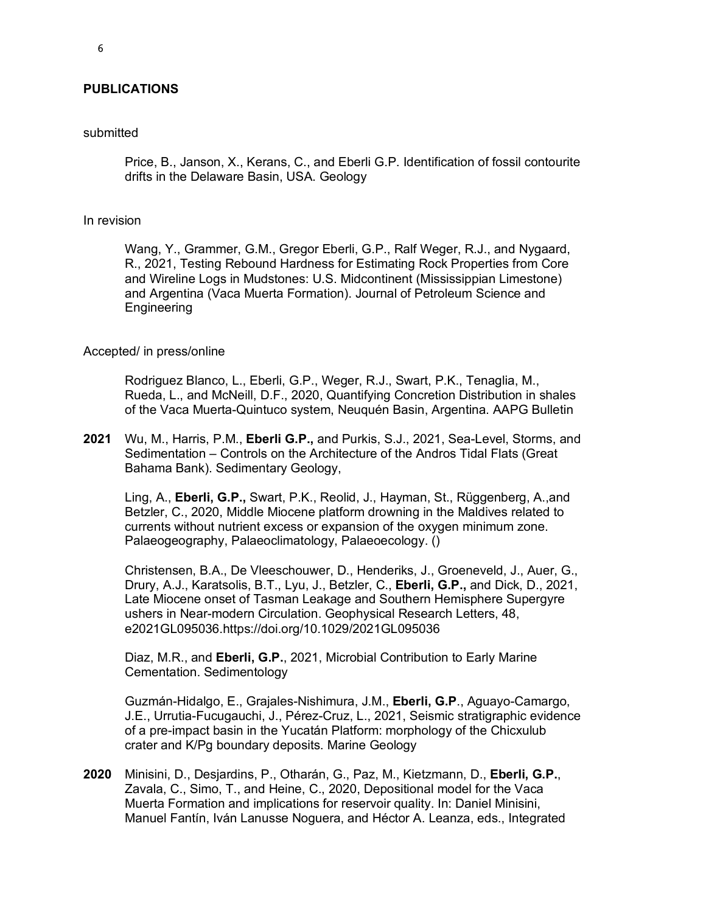### **PUBLICATIONS**

#### submitted

Price, B., Janson, X., Kerans, C., and Eberli G.P. Identification of fossil contourite drifts in the Delaware Basin, USA. Geology

#### In revision

Wang, Y., Grammer, G.M., Gregor Eberli, G.P., Ralf Weger, R.J., and Nygaard, R., 2021, Testing Rebound Hardness for Estimating Rock Properties from Core and Wireline Logs in Mudstones: U.S. Midcontinent (Mississippian Limestone) and Argentina (Vaca Muerta Formation). Journal of Petroleum Science and **Engineering** 

#### Accepted/ in press/online

Rodriguez Blanco, L., Eberli, G.P., Weger, R.J., Swart, P.K., Tenaglia, M., Rueda, L., and McNeill, D.F., 2020, Quantifying Concretion Distribution in shales of the Vaca Muerta-Quintuco system, Neuquén Basin, Argentina. AAPG Bulletin

**2021** Wu, M., Harris, P.M., **Eberli G.P.,** and Purkis, S.J., 2021, Sea-Level, Storms, and Sedimentation – Controls on the Architecture of the Andros Tidal Flats (Great Bahama Bank). Sedimentary Geology,

Ling, A., **Eberli, G.P.,** Swart, P.K., Reolid, J., Hayman, St., Rüggenberg, A.,and Betzler, C., 2020, Middle Miocene platform drowning in the Maldives related to currents without nutrient excess or expansion of the oxygen minimum zone. Palaeogeography, Palaeoclimatology, Palaeoecology. ()

Christensen, B.A., De Vleeschouwer, D., Henderiks, J., Groeneveld, J., Auer, G., Drury, A.J., Karatsolis, B.T., Lyu, J., Betzler, C., **Eberli, G.P.,** and Dick, D., 2021, Late Miocene onset of Tasman Leakage and Southern Hemisphere Supergyre ushers in Near-modern Circulation. Geophysical Research Letters, 48, e2021GL095036.https://doi.org/10.1029/2021GL095036

Diaz, M.R., and **Eberli, G.P.**, 2021, Microbial Contribution to Early Marine Cementation. Sedimentology

Guzmán-Hidalgo, E., Grajales-Nishimura, J.M., **Eberli, G.P**., Aguayo-Camargo, J.E., Urrutia-Fucugauchi, J., Pérez-Cruz, L., 2021, Seismic stratigraphic evidence of a pre-impact basin in the Yucatán Platform: morphology of the Chicxulub crater and K/Pg boundary deposits. Marine Geology

**2020** Minisini, D., Desjardins, P., Otharán, G., Paz, M., Kietzmann, D., **Eberli, G.P.**, Zavala, C., Simo, T., and Heine, C., 2020, Depositional model for the Vaca Muerta Formation and implications for reservoir quality. In: Daniel Minisini, Manuel Fantín, Iván Lanusse Noguera, and Héctor A. Leanza, eds., Integrated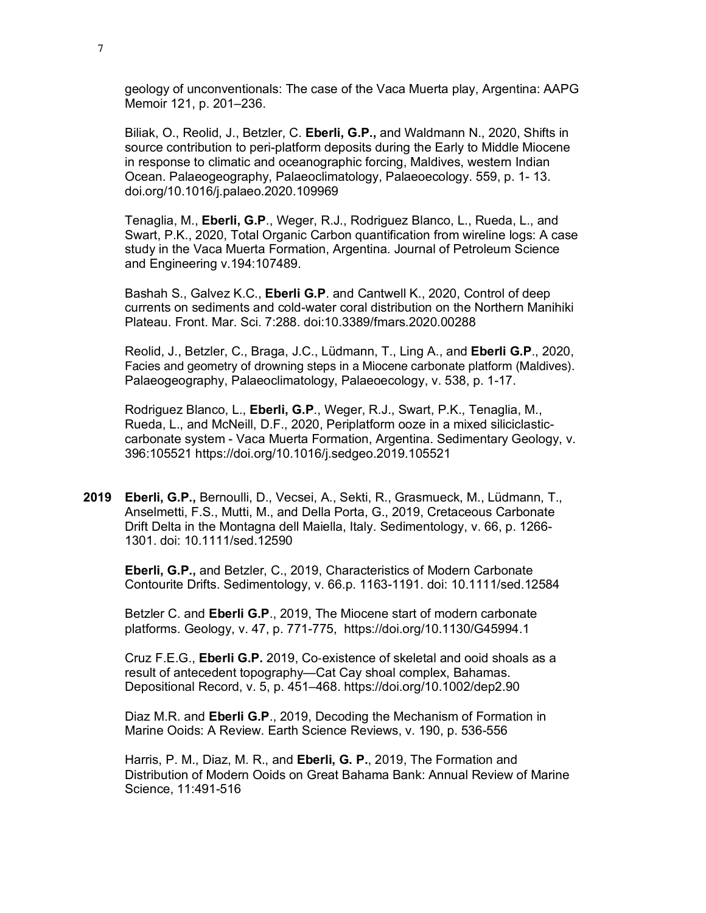geology of unconventionals: The case of the Vaca Muerta play, Argentina: AAPG Memoir 121, p. 201–236.

Biliak, O., Reolid, J., Betzler, C. **Eberli, G.P.,** and Waldmann N., 2020, Shifts in source contribution to peri-platform deposits during the Early to Middle Miocene in response to climatic and oceanographic forcing, Maldives, western Indian Ocean. Palaeogeography, Palaeoclimatology, Palaeoecology. 559, p. 1- 13. doi.org/10.1016/j.palaeo.2020.109969

Tenaglia, M., **Eberli, G.P**., Weger, R.J., Rodriguez Blanco, L., Rueda, L., and Swart, P.K., 2020, Total Organic Carbon quantification from wireline logs: A case study in the Vaca Muerta Formation, Argentina. Journal of Petroleum Science and Engineering v.194:107489.

Bashah S., Galvez K.C., **Eberli G.P**. and Cantwell K., 2020, Control of deep currents on sediments and cold-water coral distribution on the Northern Manihiki Plateau. Front. Mar. Sci. 7:288. doi:10.3389/fmars.2020.00288

Reolid, J., Betzler, C., Braga, J.C., Lüdmann, T., Ling A., and **Eberli G.P**., 2020, Facies and geometry of drowning steps in a Miocene carbonate platform (Maldives). Palaeogeography, Palaeoclimatology, Palaeoecology, v. 538, p. 1-17.

Rodriguez Blanco, L., **Eberli, G.P**., Weger, R.J., Swart, P.K., Tenaglia, M., Rueda, L., and McNeill, D.F., 2020, Periplatform ooze in a mixed siliciclasticcarbonate system - Vaca Muerta Formation, Argentina. Sedimentary Geology, v. 396:105521 https://doi.org/10.1016/j.sedgeo.2019.105521

**2019 Eberli, G.P.,** Bernoulli, D., Vecsei, A., Sekti, R., Grasmueck, M., Lüdmann, T., Anselmetti, F.S., Mutti, M., and Della Porta, G., 2019, Cretaceous Carbonate Drift Delta in the Montagna dell Maiella, Italy. Sedimentology, v. 66, p. 1266- 1301. doi: 10.1111/sed.12590

**Eberli, G.P.,** and Betzler, C., 2019, Characteristics of Modern Carbonate Contourite Drifts. Sedimentology, v. 66.p. 1163-1191. doi: 10.1111/sed.12584

Betzler C. and **Eberli G.P**., 2019, The Miocene start of modern carbonate platforms. Geology, v. 47, p. 771-775, https://doi.org/10.1130/G45994.1

Cruz F.E.G., **Eberli G.P.** 2019, Co-existence of skeletal and ooid shoals as a result of antecedent topography—Cat Cay shoal complex, Bahamas. Depositional Record, v. 5, p. 451–468. https://doi.org/10.1002/dep2.90

Diaz M.R. and **Eberli G.P**., 2019, Decoding the Mechanism of Formation in Marine Ooids: A Review. Earth Science Reviews, v. 190, p. 536-556

Harris, P. M., Diaz, M. R., and **Eberli, G. P.**, 2019, The Formation and Distribution of Modern Ooids on Great Bahama Bank: Annual Review of Marine Science, 11:491-516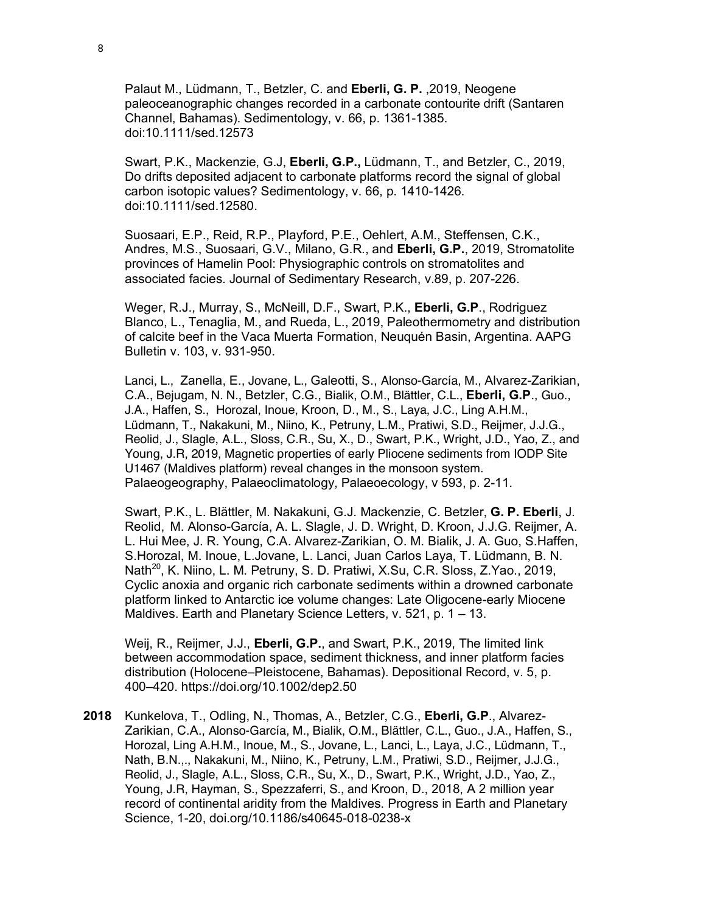Palaut M., Lüdmann, T., Betzler, C. and **Eberli, G. P.** ,2019, Neogene paleoceanographic changes recorded in a carbonate contourite drift (Santaren Channel, Bahamas). Sedimentology, v. 66, p. 1361-1385. doi:10.1111/sed.12573

Swart, P.K., Mackenzie, G.J, **Eberli, G.P.,** Lüdmann, T., and Betzler, C., 2019, Do drifts deposited adjacent to carbonate platforms record the signal of global carbon isotopic values? Sedimentology, v. 66, p. 1410-1426. doi:10.1111/sed.12580.

Suosaari, E.P., Reid, R.P., Playford, P.E., Oehlert, A.M., Steffensen, C.K., Andres, M.S., Suosaari, G.V., Milano, G.R., and **Eberli, G.P.**, 2019, Stromatolite provinces of Hamelin Pool: Physiographic controls on stromatolites and associated facies. Journal of Sedimentary Research, v.89, p. 207-226.

Weger, R.J., Murray, S., McNeill, D.F., Swart, P.K., **Eberli, G.P**., Rodriguez Blanco, L., Tenaglia, M., and Rueda, L., 2019, Paleothermometry and distribution of calcite beef in the Vaca Muerta Formation, Neuquén Basin, Argentina. AAPG Bulletin v. 103, v. 931-950.

Lanci, L., Zanella, E., Jovane, L., Galeotti, S., Alonso-García, M., Alvarez-Zarikian, C.A., Bejugam, N. N., Betzler, C.G., Bialik, O.M., Blättler, C.L., **Eberli, G.P**., Guo., J.A., Haffen, S., Horozal, Inoue, Kroon, D., M., S., Laya, J.C., Ling A.H.M., Lüdmann, T., Nakakuni, M., Niino, K., Petruny, L.M., Pratiwi, S.D., Reijmer, J.J.G., Reolid, J., Slagle, A.L., Sloss, C.R., Su, X., D., Swart, P.K., Wright, J.D., Yao, Z., and Young, J.R, 2019, Magnetic properties of early Pliocene sediments from IODP Site U1467 (Maldives platform) reveal changes in the monsoon system. Palaeogeography, Palaeoclimatology, Palaeoecology, v 593, p. 2-11.

Swart, P.K., L. Blättler, M. Nakakuni, G.J. Mackenzie, C. Betzler, **G. P. Eberli**, J. Reolid, M. Alonso-García, A. L. Slagle, J. D. Wright, D. Kroon, J.J.G. Reijmer, A. L. Hui Mee, J. R. Young, C.A. Alvarez-Zarikian, O. M. Bialik, J. A. Guo, S.Haffen, S.Horozal, M. Inoue, L.Jovane, L. Lanci, Juan Carlos Laya, T. Lüdmann, B. N. Nath<sup>20</sup>, K. Niino, L. M. Petruny, S. D. Pratiwi, X.Su, C.R. Sloss, Z.Yao., 2019, Cyclic anoxia and organic rich carbonate sediments within a drowned carbonate platform linked to Antarctic ice volume changes: Late Oligocene-early Miocene Maldives. Earth and Planetary Science Letters, v. 521, p. 1 – 13.

Weij, R., Reijmer, J.J., **Eberli, G.P.**, and Swart, P.K., 2019, The limited link between accommodation space, sediment thickness, and inner platform facies distribution (Holocene–Pleistocene, Bahamas). Depositional Record, v. 5, p. 400–420. https://doi.org/10.1002/dep2.50

**2018** Kunkelova, T., Odling, N., Thomas, A., Betzler, C.G., **Eberli, G.P**., Alvarez-Zarikian, C.A., Alonso-García, M., Bialik, O.M., Blättler, C.L., Guo., J.A., Haffen, S., Horozal, Ling A.H.M., Inoue, M., S., Jovane, L., Lanci, L., Laya, J.C., Lüdmann, T., Nath, B.N.,., Nakakuni, M., Niino, K., Petruny, L.M., Pratiwi, S.D., Reijmer, J.J.G., Reolid, J., Slagle, A.L., Sloss, C.R., Su, X., D., Swart, P.K., Wright, J.D., Yao, Z., Young, J.R, Hayman, S., Spezzaferri, S., and Kroon, D., 2018, A 2 million year record of continental aridity from the Maldives. Progress in Earth and Planetary Science, 1-20, doi.org/10.1186/s40645-018-0238-x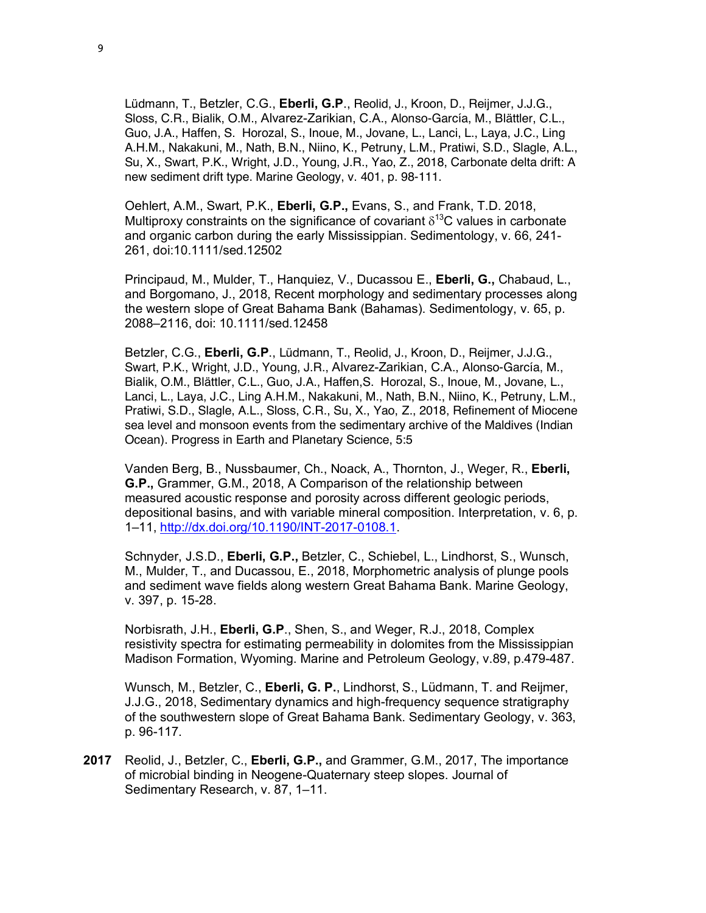Lüdmann, T., Betzler, C.G., **Eberli, G.P**., Reolid, J., Kroon, D., Reijmer, J.J.G., Sloss, C.R., Bialik, O.M., Alvarez-Zarikian, C.A., Alonso-García, M., Blättler, C.L., Guo, J.A., Haffen, S. Horozal, S., Inoue, M., Jovane, L., Lanci, L., Laya, J.C., Ling A.H.M., Nakakuni, M., Nath, B.N., Niino, K., Petruny, L.M., Pratiwi, S.D., Slagle, A.L., Su, X., Swart, P.K., Wright, J.D., Young, J.R., Yao, Z., 2018, Carbonate delta drift: A new sediment drift type. Marine Geology, v. 401, p. 98-111.

Oehlert, A.M., Swart, P.K., **Eberli, G.P.,** Evans, S., and Frank, T.D. 2018, Multiproxy constraints on the significance of covariant  $\delta^{13}$ C values in carbonate and organic carbon during the early Mississippian. Sedimentology, v. 66, 241- 261, doi:10.1111/sed.12502

Principaud, M., Mulder, T., Hanquiez, V., Ducassou E., **Eberli, G.,** Chabaud, L., and Borgomano, J., 2018, Recent morphology and sedimentary processes along the western slope of Great Bahama Bank (Bahamas). Sedimentology, v. 65, p. 2088–2116, doi: 10.1111/sed.12458

Betzler, C.G., **Eberli, G.P**., Lüdmann, T., Reolid, J., Kroon, D., Reijmer, J.J.G., Swart, P.K., Wright, J.D., Young, J.R., Alvarez-Zarikian, C.A., Alonso-García, M., Bialik, O.M., Blättler, C.L., Guo, J.A., Haffen,S. Horozal, S., Inoue, M., Jovane, L., Lanci, L., Laya, J.C., Ling A.H.M., Nakakuni, M., Nath, B.N., Niino, K., Petruny, L.M., Pratiwi, S.D., Slagle, A.L., Sloss, C.R., Su, X., Yao, Z., 2018, Refinement of Miocene sea level and monsoon events from the sedimentary archive of the Maldives (Indian Ocean). Progress in Earth and Planetary Science, 5:5

Vanden Berg, B., Nussbaumer, Ch., Noack, A., Thornton, J., Weger, R., **Eberli, G.P.,** Grammer, G.M., 2018, A Comparison of the relationship between measured acoustic response and porosity across different geologic periods, depositional basins, and with variable mineral composition. Interpretation, v. 6, p. 1–11, http://dx.doi.org/10.1190/INT-2017-0108.1.

Schnyder, J.S.D., **Eberli, G.P.,** Betzler, C., Schiebel, L., Lindhorst, S., Wunsch, M., Mulder, T., and Ducassou, E., 2018, Morphometric analysis of plunge pools and sediment wave fields along western Great Bahama Bank. Marine Geology, v. 397, p. 15-28.

Norbisrath, J.H., **Eberli, G.P**., Shen, S., and Weger, R.J., 2018, Complex resistivity spectra for estimating permeability in dolomites from the Mississippian Madison Formation, Wyoming. Marine and Petroleum Geology, v.89, p.479-487.

Wunsch, M., Betzler, C., **Eberli, G. P.**, Lindhorst, S., Lüdmann, T. and Reijmer, J.J.G., 2018, Sedimentary dynamics and high-frequency sequence stratigraphy of the southwestern slope of Great Bahama Bank. Sedimentary Geology, v. 363, p. 96-117.

**2017** Reolid, J., Betzler, C., **Eberli, G.P.,** and Grammer, G.M., 2017, The importance of microbial binding in Neogene-Quaternary steep slopes. Journal of Sedimentary Research, v. 87, 1–11.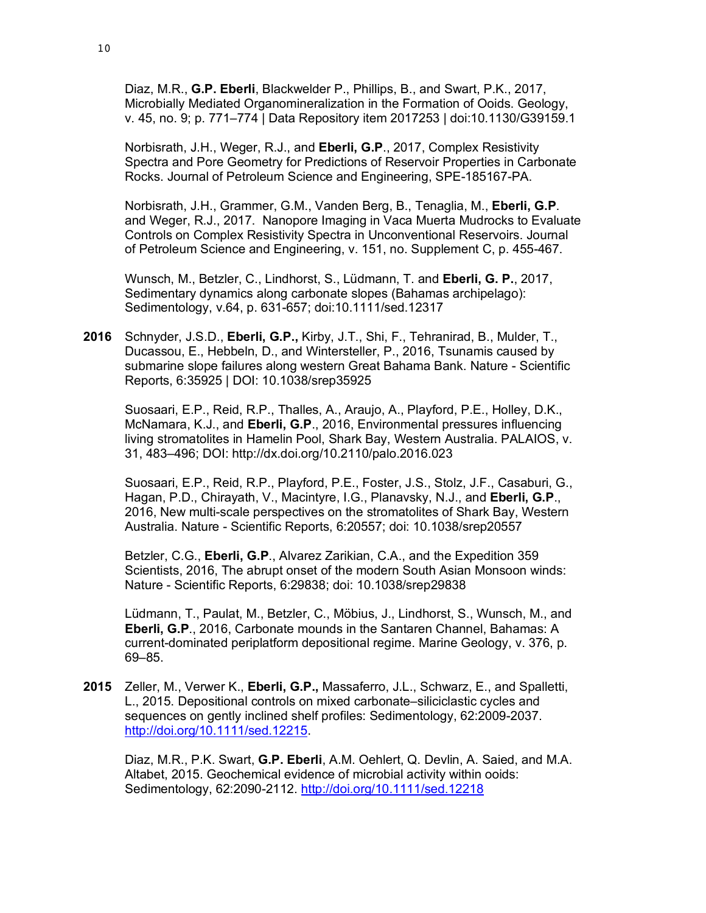Diaz, M.R., **G.P. Eberli**, Blackwelder P., Phillips, B., and Swart, P.K., 2017, Microbially Mediated Organomineralization in the Formation of Ooids. Geology, v. 45, no. 9; p. 771–774 | Data Repository item 2017253 | doi:10.1130/G39159.1

Norbisrath, J.H., Weger, R.J., and **Eberli, G.P**., 2017, Complex Resistivity Spectra and Pore Geometry for Predictions of Reservoir Properties in Carbonate Rocks. Journal of Petroleum Science and Engineering, SPE-185167-PA.

Norbisrath, J.H., Grammer, G.M., Vanden Berg, B., Tenaglia, M., **Eberli, G.P**. and Weger, R.J., 2017. Nanopore Imaging in Vaca Muerta Mudrocks to Evaluate Controls on Complex Resistivity Spectra in Unconventional Reservoirs. Journal of Petroleum Science and Engineering, v. 151, no. Supplement C, p. 455-467.

Wunsch, M., Betzler, C., Lindhorst, S., Lüdmann, T. and **Eberli, G. P.**, 2017, Sedimentary dynamics along carbonate slopes (Bahamas archipelago): Sedimentology, v.64, p. 631-657; doi:10.1111/sed.12317

**2016** Schnyder, J.S.D., **Eberli, G.P.,** Kirby, J.T., Shi, F., Tehranirad, B., Mulder, T., Ducassou, E., Hebbeln, D., and Wintersteller, P., 2016, Tsunamis caused by submarine slope failures along western Great Bahama Bank. Nature - Scientific Reports, 6:35925 | DOI: 10.1038/srep35925

Suosaari, E.P., Reid, R.P., Thalles, A., Araujo, A., Playford, P.E., Holley, D.K., McNamara, K.J., and **Eberli, G.P**., 2016, Environmental pressures influencing living stromatolites in Hamelin Pool, Shark Bay, Western Australia. PALAIOS, v. 31, 483–496; DOI: http://dx.doi.org/10.2110/palo.2016.023

Suosaari, E.P., Reid, R.P., Playford, P.E., Foster, J.S., Stolz, J.F., Casaburi, G., Hagan, P.D., Chirayath, V., Macintyre, I.G., Planavsky, N.J., and **Eberli, G.P**., 2016, New multi-scale perspectives on the stromatolites of Shark Bay, Western Australia. Nature - Scientific Reports, 6:20557; doi: 10.1038/srep20557

Betzler, C.G., **Eberli, G.P**., Alvarez Zarikian, C.A., and the Expedition 359 Scientists, 2016, The abrupt onset of the modern South Asian Monsoon winds: Nature - Scientific Reports, 6:29838; doi: 10.1038/srep29838

Lüdmann, T., Paulat, M., Betzler, C., Möbius, J., Lindhorst, S., Wunsch, M., and **Eberli, G.P**., 2016, Carbonate mounds in the Santaren Channel, Bahamas: A current-dominated periplatform depositional regime. Marine Geology, v. 376, p. 69–85.

**2015** Zeller, M., Verwer K., **Eberli, G.P.,** Massaferro, J.L., Schwarz, E., and Spalletti, L., 2015. Depositional controls on mixed carbonate–siliciclastic cycles and sequences on gently inclined shelf profiles: Sedimentology, 62:2009-2037. http://doi.org/10.1111/sed.12215.

Diaz, M.R., P.K. Swart, **G.P. Eberli**, A.M. Oehlert, Q. Devlin, A. Saied, and M.A. Altabet, 2015. Geochemical evidence of microbial activity within ooids: Sedimentology, 62:2090-2112. http://doi.org/10.1111/sed.12218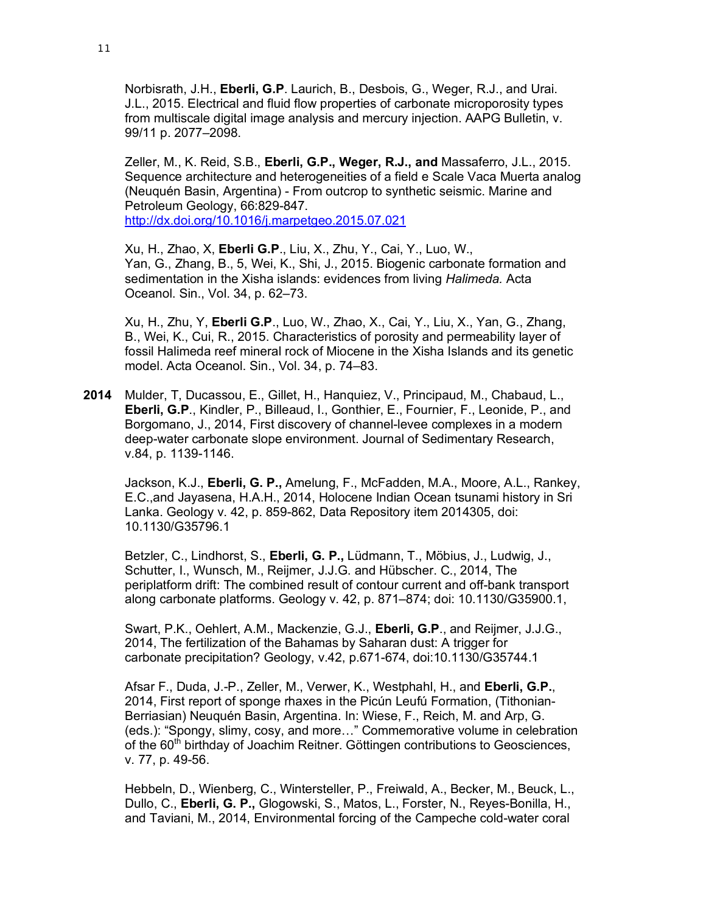Norbisrath, J.H., **Eberli, G.P**. Laurich, B., Desbois, G., Weger, R.J., and Urai. J.L., 2015. Electrical and fluid flow properties of carbonate microporosity types from multiscale digital image analysis and mercury injection. AAPG Bulletin, v. 99/11 p. 2077–2098.

Zeller, M., K. Reid, S.B., **Eberli, G.P., Weger, R.J., and** Massaferro, J.L., 2015. Sequence architecture and heterogeneities of a field e Scale Vaca Muerta analog (Neuquén Basin, Argentina) - From outcrop to synthetic seismic. Marine and Petroleum Geology, 66:829-847.

http://dx.doi.org/10.1016/j.marpetgeo.2015.07.021

Xu, H., Zhao, X, **Eberli G.P**., Liu, X., Zhu, Y., Cai, Y., Luo, W., Yan, G., Zhang, B., 5, Wei, K., Shi, J., 2015. Biogenic carbonate formation and sedimentation in the Xisha islands: evidences from living *Halimeda.* Acta Oceanol. Sin., Vol. 34, p. 62–73.

Xu, H., Zhu, Y, **Eberli G.P**., Luo, W., Zhao, X., Cai, Y., Liu, X., Yan, G., Zhang, B., Wei, K., Cui, R., 2015. Characteristics of porosity and permeability layer of fossil Halimeda reef mineral rock of Miocene in the Xisha Islands and its genetic model. Acta Oceanol. Sin., Vol. 34, p. 74–83.

**2014** Mulder, T, Ducassou, E., Gillet, H., Hanquiez, V., Principaud, M., Chabaud, L., **Eberli, G.P**., Kindler, P., Billeaud, I., Gonthier, E., Fournier, F., Leonide, P., and Borgomano, J., 2014, First discovery of channel-levee complexes in a modern deep-water carbonate slope environment. Journal of Sedimentary Research, v.84, p. 1139-1146.

Jackson, K.J., **Eberli, G. P.,** Amelung, F., McFadden, M.A., Moore, A.L., Rankey, E.C.,and Jayasena, H.A.H., 2014, Holocene Indian Ocean tsunami history in Sri Lanka. Geology v. 42, p. 859-862, Data Repository item 2014305, doi: 10.1130/G35796.1

Betzler, C., Lindhorst, S., **Eberli, G. P.,** Lüdmann, T., Möbius, J., Ludwig, J., Schutter, I., Wunsch, M., Reijmer, J.J.G. and Hübscher. C., 2014, The periplatform drift: The combined result of contour current and off-bank transport along carbonate platforms. Geology v. 42, p. 871–874; doi: 10.1130/G35900.1,

Swart, P.K., Oehlert, A.M., Mackenzie, G.J., **Eberli, G.P**., and Reijmer, J.J.G., 2014, The fertilization of the Bahamas by Saharan dust: A trigger for carbonate precipitation? Geology, v.42, p.671-674, doi:10.1130/G35744.1

Afsar F., Duda, J.-P., Zeller, M., Verwer, K., Westphahl, H., and **Eberli, G.P.**, 2014, First report of sponge rhaxes in the Picún Leufú Formation, (Tithonian-Berriasian) Neuquén Basin, Argentina. In: Wiese, F., Reich, M. and Arp, G. (eds.): "Spongy, slimy, cosy, and more…" Commemorative volume in celebration of the 60<sup>th</sup> birthday of Joachim Reitner. Göttingen contributions to Geosciences, v. 77, p. 49-56.

Hebbeln, D., Wienberg, C., Wintersteller, P., Freiwald, A., Becker, M., Beuck, L., Dullo, C., **Eberli, G. P.,** Glogowski, S., Matos, L., Forster, N., Reyes-Bonilla, H., and Taviani, M., 2014, Environmental forcing of the Campeche cold-water coral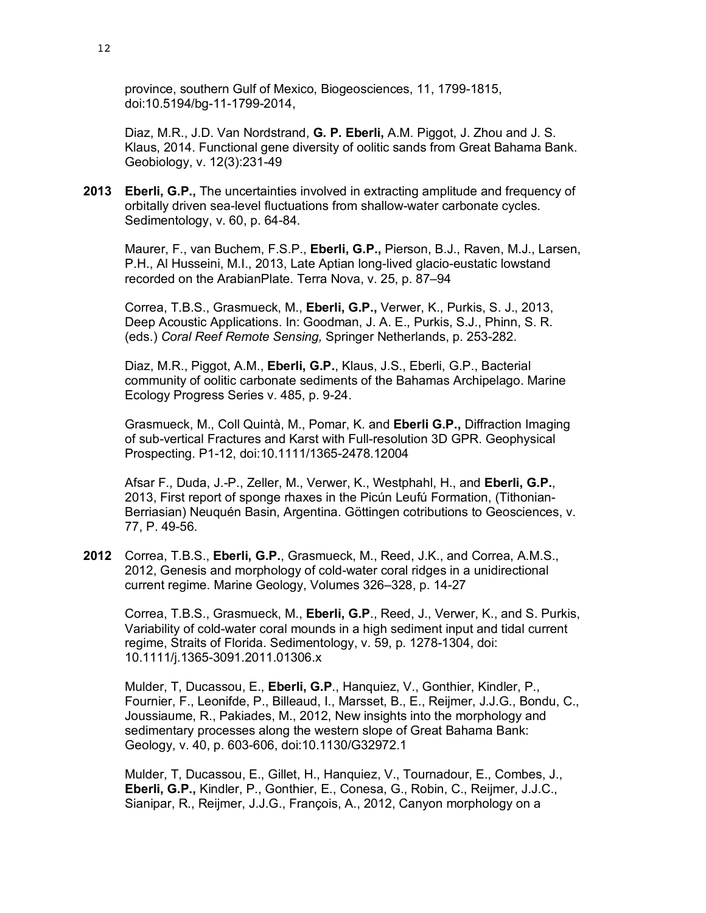province, southern Gulf of Mexico, Biogeosciences, 11, 1799-1815, doi:10.5194/bg-11-1799-2014,

Diaz, M.R., J.D. Van Nordstrand, **G. P. Eberli,** A.M. Piggot, J. Zhou and J. S. Klaus, 2014. Functional gene diversity of oolitic sands from Great Bahama Bank. Geobiology, v. 12(3):231-49

**2013 Eberli, G.P.,** The uncertainties involved in extracting amplitude and frequency of orbitally driven sea-level fluctuations from shallow-water carbonate cycles. Sedimentology, v. 60, p. 64-84.

Maurer, F., van Buchem, F.S.P., **Eberli, G.P.,** Pierson, B.J., Raven, M.J., Larsen, P.H., Al Husseini, M.I., 2013, Late Aptian long-lived glacio-eustatic lowstand recorded on the ArabianPlate. Terra Nova, v. 25, p. 87–94

Correa, T.B.S., Grasmueck, M., **Eberli, G.P.,** Verwer, K., Purkis, S. J., 2013, Deep Acoustic Applications. In: Goodman, J. A. E., Purkis, S.J., Phinn, S. R. (eds.) *Coral Reef Remote Sensing,* Springer Netherlands, p. 253-282.

Diaz, M.R., Piggot, A.M., **Eberli, G.P.**, Klaus, J.S., Eberli, G.P., Bacterial community of oolitic carbonate sediments of the Bahamas Archipelago. Marine Ecology Progress Series v. 485, p. 9-24.

Grasmueck, M., Coll Quintà, M., Pomar, K. and **Eberli G.P.,** Diffraction Imaging of sub-vertical Fractures and Karst with Full-resolution 3D GPR. Geophysical Prospecting. P1-12, doi:10.1111/1365-2478.12004

Afsar F., Duda, J.-P., Zeller, M., Verwer, K., Westphahl, H., and **Eberli, G.P.**, 2013, First report of sponge rhaxes in the Picún Leufú Formation, (Tithonian-Berriasian) Neuquén Basin, Argentina. Göttingen cotributions to Geosciences, v. 77, P. 49-56.

**2012** Correa, T.B.S., **Eberli, G.P.**, Grasmueck, M., Reed, J.K., and Correa, A.M.S., 2012, Genesis and morphology of cold-water coral ridges in a unidirectional current regime. Marine Geology, Volumes 326–328, p. 14-27

Correa, T.B.S., Grasmueck, M., **Eberli, G.P**., Reed, J., Verwer, K., and S. Purkis, Variability of cold-water coral mounds in a high sediment input and tidal current regime, Straits of Florida. Sedimentology, v. 59, p. 1278-1304, doi: 10.1111/j.1365-3091.2011.01306.x

Mulder, T, Ducassou, E., **Eberli, G.P**., Hanquiez, V., Gonthier, Kindler, P., Fournier, F., Leonifde, P., Billeaud, I., Marsset, B., E., Reijmer, J.J.G., Bondu, C., Joussiaume, R., Pakiades, M., 2012, New insights into the morphology and sedimentary processes along the western slope of Great Bahama Bank: Geology, v. 40, p. 603-606, doi:10.1130/G32972.1

Mulder, T, Ducassou, E., Gillet, H., Hanquiez, V., Tournadour, E., Combes, J., **Eberli, G.P.,** Kindler, P., Gonthier, E., Conesa, G., Robin, C., Reijmer, J.J.C., Sianipar, R., Reijmer, J.J.G., François, A., 2012, Canyon morphology on a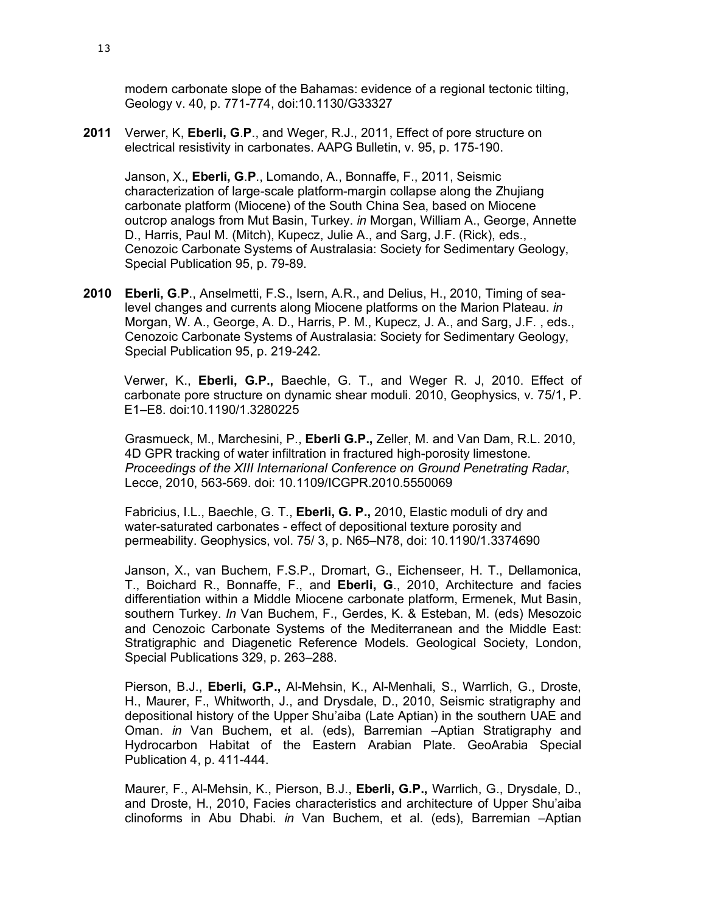modern carbonate slope of the Bahamas: evidence of a regional tectonic tilting, Geology v. 40, p. 771-774, doi:10.1130/G33327

**2011** Verwer, K, **Eberli, G**.**P**., and Weger, R.J., 2011, Effect of pore structure on electrical resistivity in carbonates. AAPG Bulletin, v. 95, p. 175-190.

Janson, X., **Eberli, G**.**P**., Lomando, A., Bonnaffe, F., 2011, Seismic characterization of large-scale platform-margin collapse along the Zhujiang carbonate platform (Miocene) of the South China Sea, based on Miocene outcrop analogs from Mut Basin, Turkey. *in* Morgan, William A., George, Annette D., Harris, Paul M. (Mitch), Kupecz, Julie A., and Sarg, J.F. (Rick), eds., Cenozoic Carbonate Systems of Australasia: Society for Sedimentary Geology, Special Publication 95, p. 79-89.

**2010 Eberli, G**.**P**., Anselmetti, F.S., Isern, A.R., and Delius, H., 2010, Timing of sealevel changes and currents along Miocene platforms on the Marion Plateau. *in* Morgan, W. A., George, A. D., Harris, P. M., Kupecz, J. A., and Sarg, J.F. , eds., Cenozoic Carbonate Systems of Australasia: Society for Sedimentary Geology, Special Publication 95, p. 219-242.

Verwer, K., **Eberli, G.P.,** Baechle, G. T., and Weger R. J, 2010. Effect of carbonate pore structure on dynamic shear moduli. 2010, Geophysics, v. 75/1, P. E1–E8. doi:10.1190/1.3280225

Grasmueck, M., Marchesini, P., **Eberli G.P.,** Zeller, M. and Van Dam, R.L. 2010, 4D GPR tracking of water infiltration in fractured high-porosity limestone. *Proceedings of the XIII Internarional Conference on Ground Penetrating Radar*, Lecce, 2010, 563-569. doi: 10.1109/ICGPR.2010.5550069

Fabricius, I.L., Baechle, G. T., **Eberli, G. P.,** 2010, Elastic moduli of dry and water-saturated carbonates - effect of depositional texture porosity and permeability. Geophysics, vol. 75/ 3, p. N65–N78, doi: 10.1190/1.3374690

Janson, X., van Buchem, F.S.P., Dromart, G., Eichenseer, H. T., Dellamonica, T., Boichard R., Bonnaffe, F., and **Eberli, G**., 2010, Architecture and facies differentiation within a Middle Miocene carbonate platform, Ermenek, Mut Basin, southern Turkey. *In* Van Buchem, F., Gerdes, K. & Esteban, M. (eds) Mesozoic and Cenozoic Carbonate Systems of the Mediterranean and the Middle East: Stratigraphic and Diagenetic Reference Models. Geological Society, London, Special Publications 329, p. 263–288.

Pierson, B.J., **Eberli, G.P.,** Al-Mehsin, K., Al-Menhali, S., Warrlich, G., Droste, H., Maurer, F., Whitworth, J., and Drysdale, D., 2010, Seismic stratigraphy and depositional history of the Upper Shu'aiba (Late Aptian) in the southern UAE and Oman. *in* Van Buchem, et al. (eds), Barremian –Aptian Stratigraphy and Hydrocarbon Habitat of the Eastern Arabian Plate. GeoArabia Special Publication 4, p. 411-444.

Maurer, F., Al-Mehsin, K., Pierson, B.J., **Eberli, G.P.,** Warrlich, G., Drysdale, D., and Droste, H., 2010, Facies characteristics and architecture of Upper Shu'aiba clinoforms in Abu Dhabi. *in* Van Buchem, et al. (eds), Barremian –Aptian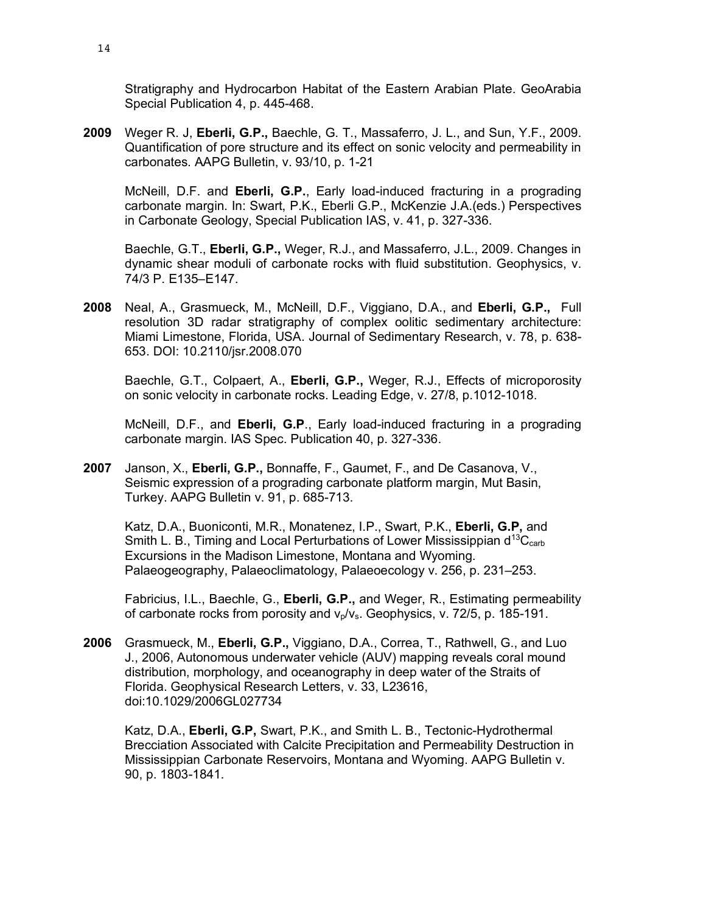Stratigraphy and Hydrocarbon Habitat of the Eastern Arabian Plate. GeoArabia Special Publication 4, p. 445-468.

**2009** Weger R. J, **Eberli, G.P.,** Baechle, G. T., Massaferro, J. L., and Sun, Y.F., 2009. Quantification of pore structure and its effect on sonic velocity and permeability in carbonates. AAPG Bulletin, v. 93/10, p. 1-21

McNeill, D.F. and **Eberli, G.P.**, Early load-induced fracturing in a prograding carbonate margin. In: Swart, P.K., Eberli G.P., McKenzie J.A.(eds.) Perspectives in Carbonate Geology, Special Publication IAS, v. 41, p. 327-336.

Baechle, G.T., **Eberli, G.P.,** Weger, R.J., and Massaferro, J.L., 2009. Changes in dynamic shear moduli of carbonate rocks with fluid substitution. Geophysics, v. 74/3 P. E135–E147.

**2008** Neal, A., Grasmueck, M., McNeill, D.F., Viggiano, D.A., and **Eberli, G.P.,** Full resolution 3D radar stratigraphy of complex oolitic sedimentary architecture: Miami Limestone, Florida, USA. Journal of Sedimentary Research, v. 78, p. 638- 653. DOI: 10.2110/jsr.2008.070

Baechle, G.T., Colpaert, A., **Eberli, G.P.,** Weger, R.J., Effects of microporosity on sonic velocity in carbonate rocks. Leading Edge, v. 27/8, p.1012-1018.

McNeill, D.F., and **Eberli, G.P**., Early load-induced fracturing in a prograding carbonate margin. IAS Spec. Publication 40, p. 327-336.

**2007** Janson, X., **Eberli, G.P.,** Bonnaffe, F., Gaumet, F., and De Casanova, V., Seismic expression of a prograding carbonate platform margin, Mut Basin, Turkey. AAPG Bulletin v. 91, p. 685-713.

Katz, D.A., Buoniconti, M.R., Monatenez, I.P., Swart, P.K., **Eberli, G.P,** and Smith L. B., Timing and Local Perturbations of Lower Mississippian  $d^{13}C_{\text{cath}}$ Excursions in the Madison Limestone, Montana and Wyoming. Palaeogeography, Palaeoclimatology, Palaeoecology v. 256, p. 231–253.

Fabricius, I.L., Baechle, G., **Eberli, G.P.,** and Weger, R., Estimating permeability of carbonate rocks from porosity and  $v_p/v_s$ . Geophysics, v. 72/5, p. 185-191.

**2006** Grasmueck, M., **Eberli, G.P.,** Viggiano, D.A., Correa, T., Rathwell, G., and Luo J., 2006, Autonomous underwater vehicle (AUV) mapping reveals coral mound distribution, morphology, and oceanography in deep water of the Straits of Florida. Geophysical Research Letters, v. 33, L23616, doi:10.1029/2006GL027734

Katz, D.A., **Eberli, G.P,** Swart, P.K., and Smith L. B., Tectonic-Hydrothermal Brecciation Associated with Calcite Precipitation and Permeability Destruction in Mississippian Carbonate Reservoirs, Montana and Wyoming. AAPG Bulletin v. 90, p. 1803-1841.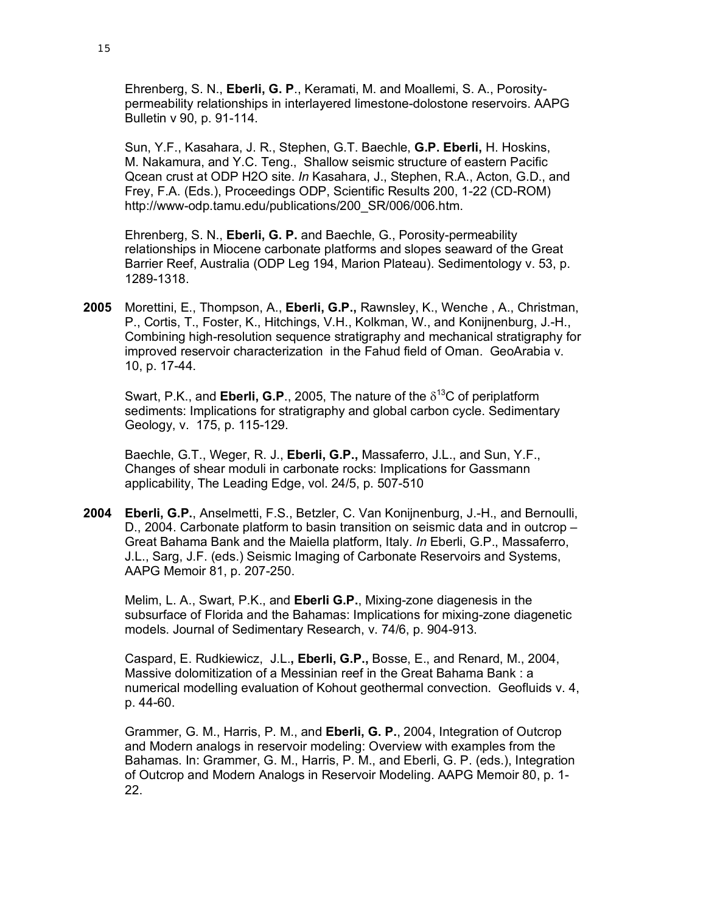Ehrenberg, S. N., **Eberli, G. P**., Keramati, M. and Moallemi, S. A., Porositypermeability relationships in interlayered limestone-dolostone reservoirs. AAPG Bulletin v 90, p. 91-114.

Sun, Y.F., Kasahara, J. R., Stephen, G.T. Baechle, **G.P. Eberli,** H. Hoskins, M. Nakamura, and Y.C. Teng., Shallow seismic structure of eastern Pacific Qcean crust at ODP H2O site. *In* Kasahara, J., Stephen, R.A., Acton, G.D., and Frey, F.A. (Eds.), Proceedings ODP, Scientific Results 200, 1-22 (CD-ROM) http://www-odp.tamu.edu/publications/200\_SR/006/006.htm.

Ehrenberg, S. N., **Eberli, G. P.** and Baechle, G., Porosity-permeability relationships in Miocene carbonate platforms and slopes seaward of the Great Barrier Reef, Australia (ODP Leg 194, Marion Plateau). Sedimentology v. 53, p. 1289-1318.

**2005** Morettini, E., Thompson, A., **Eberli, G.P.,** Rawnsley, K., Wenche , A., Christman, P., Cortis, T., Foster, K., Hitchings, V.H., Kolkman, W., and Konijnenburg, J.-H., Combining high-resolution sequence stratigraphy and mechanical stratigraphy for improved reservoir characterization in the Fahud field of Oman. GeoArabia v. 10, p. 17-44.

Swart, P.K., and **Eberli, G.P.**, 2005, The nature of the  $\delta^{13}$ C of periplatform sediments: Implications for stratigraphy and global carbon cycle. Sedimentary Geology, v. 175, p. 115-129.

Baechle, G.T., Weger, R. J., **Eberli, G.P.,** Massaferro, J.L., and Sun, Y.F., Changes of shear moduli in carbonate rocks: Implications for Gassmann applicability, The Leading Edge, vol. 24/5, p. 507-510

**2004 Eberli, G.P.**, Anselmetti, F.S., Betzler, C. Van Konijnenburg, J.-H., and Bernoulli, D., 2004. Carbonate platform to basin transition on seismic data and in outcrop – Great Bahama Bank and the Maiella platform, Italy. *In* Eberli, G.P., Massaferro, J.L., Sarg, J.F. (eds.) Seismic Imaging of Carbonate Reservoirs and Systems, AAPG Memoir 81, p. 207-250.

Melim, L. A., Swart, P.K., and **Eberli G.P.**, Mixing-zone diagenesis in the subsurface of Florida and the Bahamas: Implications for mixing-zone diagenetic models. Journal of Sedimentary Research, v. 74/6, p. 904-913.

Caspard, E. Rudkiewicz, J.L.**, Eberli, G.P.,** Bosse, E., and Renard, M., 2004, Massive dolomitization of a Messinian reef in the Great Bahama Bank : a numerical modelling evaluation of Kohout geothermal convection. Geofluids v. 4, p. 44-60.

Grammer, G. M., Harris, P. M., and **Eberli, G. P.**, 2004, Integration of Outcrop and Modern analogs in reservoir modeling: Overview with examples from the Bahamas. In: Grammer, G. M., Harris, P. M., and Eberli, G. P. (eds.), Integration of Outcrop and Modern Analogs in Reservoir Modeling. AAPG Memoir 80, p. 1- 22.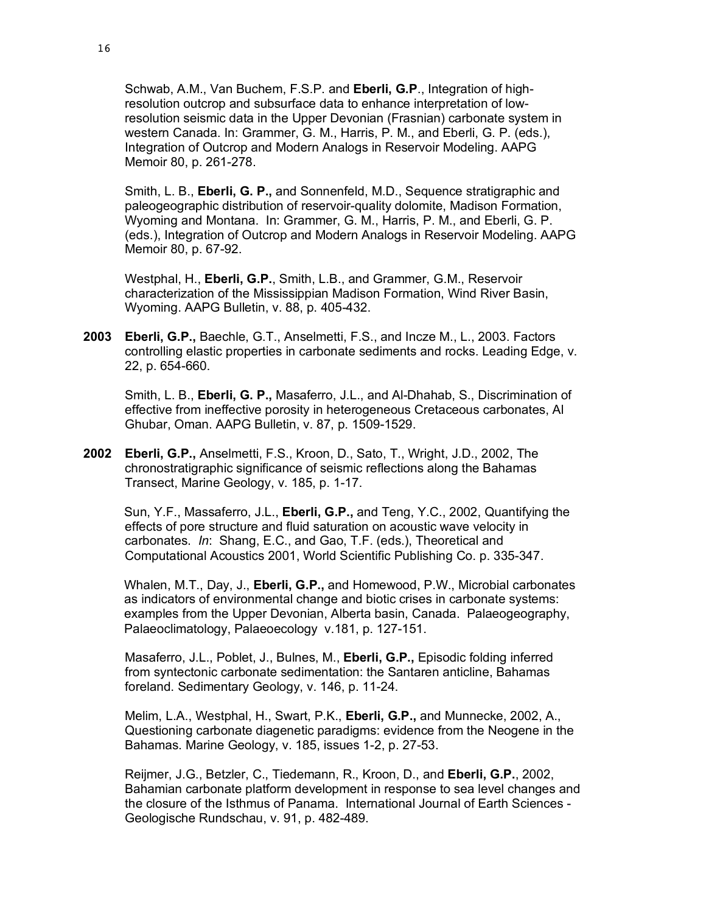Schwab, A.M., Van Buchem, F.S.P. and **Eberli, G.P**., Integration of highresolution outcrop and subsurface data to enhance interpretation of lowresolution seismic data in the Upper Devonian (Frasnian) carbonate system in western Canada. In: Grammer, G. M., Harris, P. M., and Eberli, G. P. (eds.), Integration of Outcrop and Modern Analogs in Reservoir Modeling. AAPG Memoir 80, p. 261-278.

Smith, L. B., **Eberli, G. P.,** and Sonnenfeld, M.D., Sequence stratigraphic and paleogeographic distribution of reservoir-quality dolomite, Madison Formation, Wyoming and Montana. In: Grammer, G. M., Harris, P. M., and Eberli, G. P. (eds.), Integration of Outcrop and Modern Analogs in Reservoir Modeling. AAPG Memoir 80, p. 67-92.

Westphal, H., **Eberli, G.P.**, Smith, L.B., and Grammer, G.M., Reservoir characterization of the Mississippian Madison Formation, Wind River Basin, Wyoming. AAPG Bulletin, v. 88, p. 405-432.

**2003 Eberli, G.P.,** Baechle, G.T., Anselmetti, F.S., and Incze M., L., 2003. Factors controlling elastic properties in carbonate sediments and rocks. Leading Edge, v. 22, p. 654-660.

Smith, L. B., **Eberli, G. P.,** Masaferro, J.L., and Al-Dhahab, S., Discrimination of effective from ineffective porosity in heterogeneous Cretaceous carbonates, Al Ghubar, Oman. AAPG Bulletin, v. 87, p. 1509-1529.

**2002 Eberli, G.P.,** Anselmetti, F.S., Kroon, D., Sato, T., Wright, J.D., 2002, The chronostratigraphic significance of seismic reflections along the Bahamas Transect, Marine Geology, v. 185, p. 1-17.

Sun, Y.F., Massaferro, J.L., **Eberli, G.P.,** and Teng, Y.C., 2002, Quantifying the effects of pore structure and fluid saturation on acoustic wave velocity in carbonates. *In*: Shang, E.C., and Gao, T.F. (eds.), Theoretical and Computational Acoustics 2001, World Scientific Publishing Co. p. 335-347.

Whalen, M.T., Day, J., **Eberli, G.P.,** and Homewood, P.W., Microbial carbonates as indicators of environmental change and biotic crises in carbonate systems: examples from the Upper Devonian, Alberta basin, Canada. Palaeogeography, Palaeoclimatology, Palaeoecology v.181, p. 127-151.

Masaferro, J.L., Poblet, J., Bulnes, M., **Eberli, G.P.,** Episodic folding inferred from syntectonic carbonate sedimentation: the Santaren anticline, Bahamas foreland. Sedimentary Geology, v. 146, p. 11-24.

Melim, L.A., Westphal, H., Swart, P.K., **Eberli, G.P.,** and Munnecke, 2002, A., Questioning carbonate diagenetic paradigms: evidence from the Neogene in the Bahamas. Marine Geology, v. 185, issues 1-2, p. 27-53.

Reijmer, J.G., Betzler, C., Tiedemann, R., Kroon, D., and **Eberli, G.P.**, 2002, Bahamian carbonate platform development in response to sea level changes and the closure of the Isthmus of Panama. International Journal of Earth Sciences - Geologische Rundschau, v. 91, p. 482-489.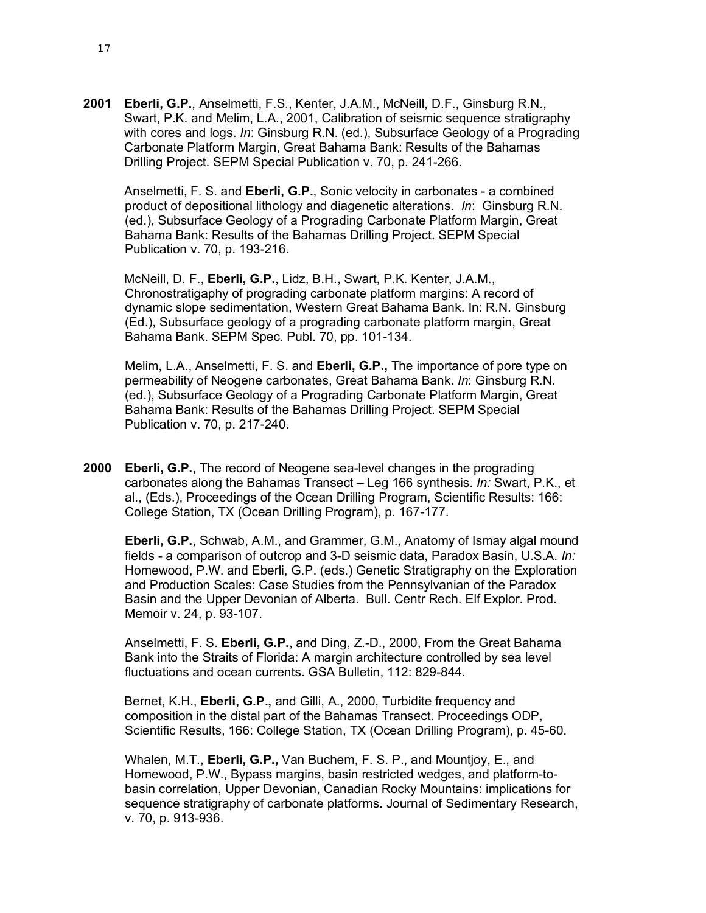**2001 Eberli, G.P.**, Anselmetti, F.S., Kenter, J.A.M., McNeill, D.F., Ginsburg R.N., Swart, P.K. and Melim, L.A., 2001, Calibration of seismic sequence stratigraphy with cores and logs. *In*: Ginsburg R.N. (ed.), Subsurface Geology of a Prograding Carbonate Platform Margin, Great Bahama Bank: Results of the Bahamas Drilling Project. SEPM Special Publication v. 70, p. 241-266.

Anselmetti, F. S. and **Eberli, G.P.**, Sonic velocity in carbonates - a combined product of depositional lithology and diagenetic alterations. *In*: Ginsburg R.N. (ed.), Subsurface Geology of a Prograding Carbonate Platform Margin, Great Bahama Bank: Results of the Bahamas Drilling Project. SEPM Special Publication v. 70, p. 193-216.

McNeill, D. F., **Eberli, G.P.**, Lidz, B.H., Swart, P.K. Kenter, J.A.M., Chronostratigaphy of prograding carbonate platform margins: A record of dynamic slope sedimentation, Western Great Bahama Bank. In: R.N. Ginsburg (Ed.), Subsurface geology of a prograding carbonate platform margin, Great Bahama Bank. SEPM Spec. Publ. 70, pp. 101-134.

Melim, L.A., Anselmetti, F. S. and **Eberli, G.P.,** The importance of pore type on permeability of Neogene carbonates, Great Bahama Bank. *In*: Ginsburg R.N. (ed.), Subsurface Geology of a Prograding Carbonate Platform Margin, Great Bahama Bank: Results of the Bahamas Drilling Project. SEPM Special Publication v. 70, p. 217-240.

**2000 Eberli, G.P.**, The record of Neogene sea-level changes in the prograding carbonates along the Bahamas Transect – Leg 166 synthesis. *In:* Swart, P.K., et al., (Eds.), Proceedings of the Ocean Drilling Program, Scientific Results: 166: College Station, TX (Ocean Drilling Program), p. 167-177.

**Eberli, G.P.**, Schwab, A.M., and Grammer, G.M., Anatomy of Ismay algal mound fields - a comparison of outcrop and 3-D seismic data, Paradox Basin, U.S.A. *In:* Homewood, P.W. and Eberli, G.P. (eds.) Genetic Stratigraphy on the Exploration and Production Scales: Case Studies from the Pennsylvanian of the Paradox Basin and the Upper Devonian of Alberta. Bull. Centr Rech. Elf Explor. Prod. Memoir v. 24, p. 93-107.

Anselmetti, F. S. **Eberli, G.P.**, and Ding, Z.-D., 2000, From the Great Bahama Bank into the Straits of Florida: A margin architecture controlled by sea level fluctuations and ocean currents. GSA Bulletin, 112: 829-844.

Bernet, K.H., **Eberli, G.P.,** and Gilli, A., 2000, Turbidite frequency and composition in the distal part of the Bahamas Transect. Proceedings ODP, Scientific Results, 166: College Station, TX (Ocean Drilling Program), p. 45-60.

Whalen, M.T., **Eberli, G.P.,** Van Buchem, F. S. P., and Mountjoy, E., and Homewood, P.W., Bypass margins, basin restricted wedges, and platform-tobasin correlation, Upper Devonian, Canadian Rocky Mountains: implications for sequence stratigraphy of carbonate platforms. Journal of Sedimentary Research, v. 70, p. 913-936.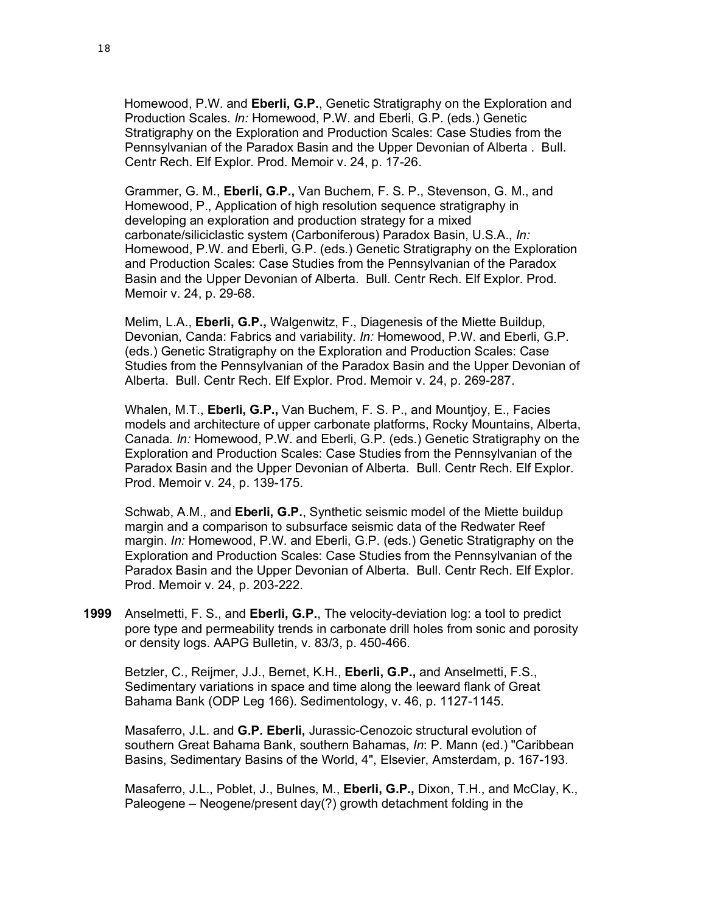Homewood, P.W. and **Eberli, G.P.**, Genetic Stratigraphy on the Exploration and Production Scales. *In:* Homewood, P.W. and Eberli, G.P. (eds.) Genetic Stratigraphy on the Exploration and Production Scales: Case Studies from the Pennsylvanian of the Paradox Basin and the Upper Devonian of Alberta . Bull. Centr Rech. Elf Explor. Prod. Memoir v. 24, p. 17-26.

Grammer, G. M., **Eberli, G.P.,** Van Buchem, F. S. P., Stevenson, G. M., and Homewood, P., Application of high resolution sequence stratigraphy in developing an exploration and production strategy for a mixed carbonate/siliciclastic system (Carboniferous) Paradox Basin, U.S.A., *In:* Homewood, P.W. and Eberli, G.P. (eds.) Genetic Stratigraphy on the Exploration and Production Scales: Case Studies from the Pennsylvanian of the Paradox Basin and the Upper Devonian of Alberta. Bull. Centr Rech. Elf Explor. Prod. Memoir v. 24, p. 29-68.

Melim, L.A., **Eberli, G.P.,** Walgenwitz, F., Diagenesis of the Miette Buildup, Devonian, Canda: Fabrics and variability. *In:* Homewood, P.W. and Eberli, G.P. (eds.) Genetic Stratigraphy on the Exploration and Production Scales: Case Studies from the Pennsylvanian of the Paradox Basin and the Upper Devonian of Alberta. Bull. Centr Rech. Elf Explor. Prod. Memoir v. 24, p. 269-287.

Whalen, M.T., **Eberli, G.P.,** Van Buchem, F. S. P., and Mountjoy, E., Facies models and architecture of upper carbonate platforms, Rocky Mountains, Alberta, Canada. *In:* Homewood, P.W. and Eberli, G.P. (eds.) Genetic Stratigraphy on the Exploration and Production Scales: Case Studies from the Pennsylvanian of the Paradox Basin and the Upper Devonian of Alberta. Bull. Centr Rech. Elf Explor. Prod. Memoir v. 24, p. 139-175.

Schwab, A.M., and **Eberli, G.P.**, Synthetic seismic model of the Miette buildup margin and a comparison to subsurface seismic data of the Redwater Reef margin. *In:* Homewood, P.W. and Eberli, G.P. (eds.) Genetic Stratigraphy on the Exploration and Production Scales: Case Studies from the Pennsylvanian of the Paradox Basin and the Upper Devonian of Alberta. Bull. Centr Rech. Elf Explor. Prod. Memoir v. 24, p. 203-222.

**1999** Anselmetti, F. S., and **Eberli, G.P.**, The velocity-deviation log: a tool to predict pore type and permeability trends in carbonate drill holes from sonic and porosity or density logs. AAPG Bulletin, v. 83/3, p. 450-466.

Betzler, C., Reijmer, J.J., Bernet, K.H., **Eberli, G.P.,** and Anselmetti, F.S., Sedimentary variations in space and time along the leeward flank of Great Bahama Bank (ODP Leg 166). Sedimentology, v. 46, p. 1127-1145.

Masaferro, J.L. and **G.P. Eberli,** Jurassic-Cenozoic structural evolution of southern Great Bahama Bank, southern Bahamas, *In*: P. Mann (ed.) "Caribbean Basins, Sedimentary Basins of the World, 4", Elsevier, Amsterdam, p. 167-193.

Masaferro, J.L., Poblet, J., Bulnes, M., **Eberli, G.P.,** Dixon, T.H., and McClay, K., Paleogene – Neogene/present day(?) growth detachment folding in the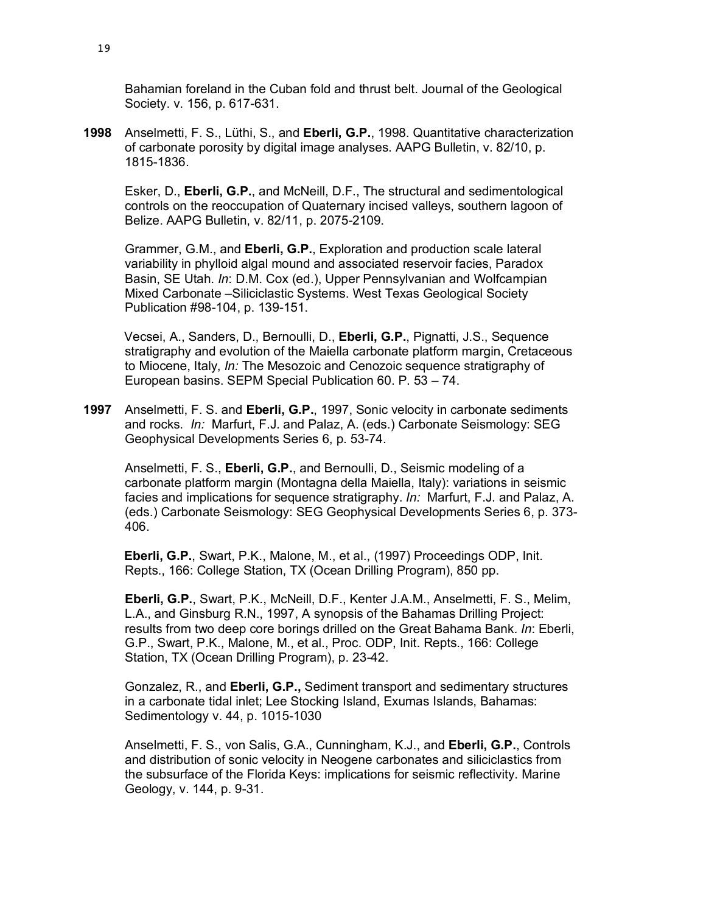Bahamian foreland in the Cuban fold and thrust belt. Journal of the Geological Society. v. 156, p. 617-631.

**1998** Anselmetti, F. S., Lüthi, S., and **Eberli, G.P.**, 1998. Quantitative characterization of carbonate porosity by digital image analyses. AAPG Bulletin, v. 82/10, p. 1815-1836.

Esker, D., **Eberli, G.P.**, and McNeill, D.F., The structural and sedimentological controls on the reoccupation of Quaternary incised valleys, southern lagoon of Belize. AAPG Bulletin, v. 82/11, p. 2075-2109.

Grammer, G.M., and **Eberli, G.P.**, Exploration and production scale lateral variability in phylloid algal mound and associated reservoir facies, Paradox Basin, SE Utah. *In*: D.M. Cox (ed.), Upper Pennsylvanian and Wolfcampian Mixed Carbonate –Siliciclastic Systems. West Texas Geological Society Publication #98-104, p. 139-151.

Vecsei, A., Sanders, D., Bernoulli, D., **Eberli, G.P.**, Pignatti, J.S., Sequence stratigraphy and evolution of the Maiella carbonate platform margin, Cretaceous to Miocene, Italy, *In:* The Mesozoic and Cenozoic sequence stratigraphy of European basins. SEPM Special Publication 60. P. 53 – 74.

**1997** Anselmetti, F. S. and **Eberli, G.P.**, 1997, Sonic velocity in carbonate sediments and rocks. *In:* Marfurt, F.J. and Palaz, A. (eds.) Carbonate Seismology: SEG Geophysical Developments Series 6, p. 53-74.

Anselmetti, F. S., **Eberli, G.P.**, and Bernoulli, D., Seismic modeling of a carbonate platform margin (Montagna della Maiella, Italy): variations in seismic facies and implications for sequence stratigraphy. *In:* Marfurt, F.J. and Palaz, A. (eds.) Carbonate Seismology: SEG Geophysical Developments Series 6, p. 373- 406.

**Eberli, G.P.**, Swart, P.K., Malone, M., et al., (1997) Proceedings ODP, Init. Repts., 166: College Station, TX (Ocean Drilling Program), 850 pp.

**Eberli, G.P.**, Swart, P.K., McNeill, D.F., Kenter J.A.M., Anselmetti, F. S., Melim, L.A., and Ginsburg R.N., 1997, A synopsis of the Bahamas Drilling Project: results from two deep core borings drilled on the Great Bahama Bank. *In*: Eberli, G.P., Swart, P.K., Malone, M., et al., Proc. ODP, Init. Repts., 166: College Station, TX (Ocean Drilling Program), p. 23-42.

Gonzalez, R., and **Eberli, G.P.,** Sediment transport and sedimentary structures in a carbonate tidal inlet; Lee Stocking Island, Exumas Islands, Bahamas: Sedimentology v. 44, p. 1015-1030

Anselmetti, F. S., von Salis, G.A., Cunningham, K.J., and **Eberli, G.P.**, Controls and distribution of sonic velocity in Neogene carbonates and siliciclastics from the subsurface of the Florida Keys: implications for seismic reflectivity. Marine Geology, v. 144, p. 9-31.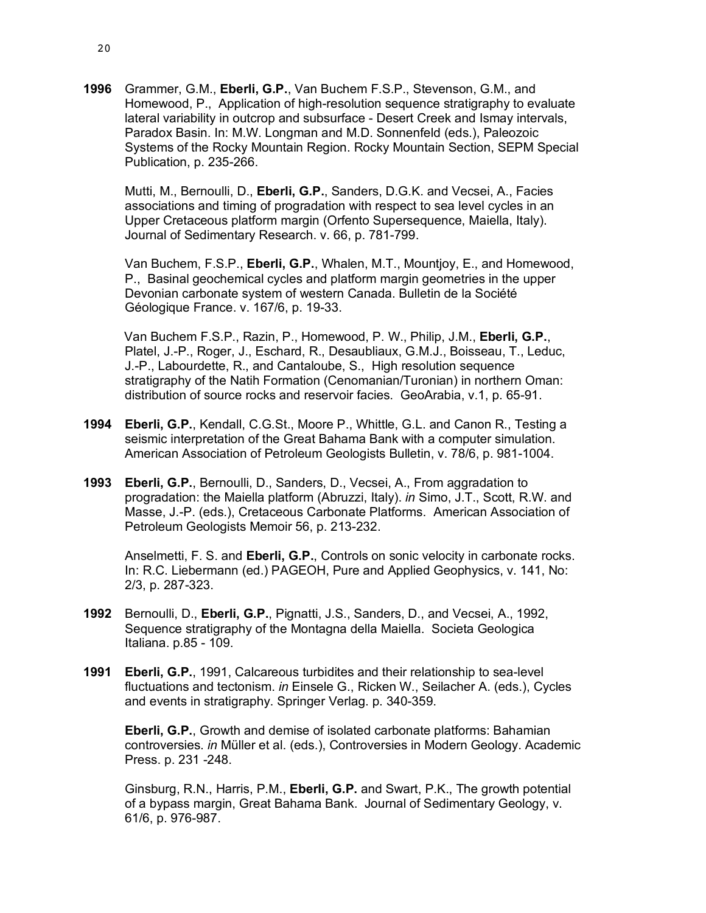**1996** Grammer, G.M., **Eberli, G.P.**, Van Buchem F.S.P., Stevenson, G.M., and Homewood, P., Application of high-resolution sequence stratigraphy to evaluate lateral variability in outcrop and subsurface - Desert Creek and Ismay intervals, Paradox Basin. In: M.W. Longman and M.D. Sonnenfeld (eds.), Paleozoic Systems of the Rocky Mountain Region. Rocky Mountain Section, SEPM Special Publication, p. 235-266.

Mutti, M., Bernoulli, D., **Eberli, G.P.**, Sanders, D.G.K. and Vecsei, A., Facies associations and timing of progradation with respect to sea level cycles in an Upper Cretaceous platform margin (Orfento Supersequence, Maiella, Italy). Journal of Sedimentary Research. v. 66, p. 781-799.

Van Buchem, F.S.P., **Eberli, G.P.**, Whalen, M.T., Mountjoy, E., and Homewood, P., Basinal geochemical cycles and platform margin geometries in the upper Devonian carbonate system of western Canada. Bulletin de la Société Géologique France. v. 167/6, p. 19-33.

Van Buchem F.S.P., Razin, P., Homewood, P. W., Philip, J.M., **Eberli, G.P.**, Platel, J.-P., Roger, J., Eschard, R., Desaubliaux, G.M.J., Boisseau, T., Leduc, J.-P., Labourdette, R., and Cantaloube, S., High resolution sequence stratigraphy of the Natih Formation (Cenomanian/Turonian) in northern Oman: distribution of source rocks and reservoir facies. GeoArabia, v.1, p. 65-91.

- **1994 Eberli, G.P.**, Kendall, C.G.St., Moore P., Whittle, G.L. and Canon R., Testing a seismic interpretation of the Great Bahama Bank with a computer simulation. American Association of Petroleum Geologists Bulletin, v. 78/6, p. 981-1004.
- **1993 Eberli, G.P.**, Bernoulli, D., Sanders, D., Vecsei, A., From aggradation to progradation: the Maiella platform (Abruzzi, Italy). *in* Simo, J.T., Scott, R.W. and Masse, J.-P. (eds.), Cretaceous Carbonate Platforms. American Association of Petroleum Geologists Memoir 56, p. 213-232.

Anselmetti, F. S. and **Eberli, G.P.**, Controls on sonic velocity in carbonate rocks. In: R.C. Liebermann (ed.) PAGEOH, Pure and Applied Geophysics, v. 141, No: 2/3, p. 287-323.

- **1992** Bernoulli, D., **Eberli, G.P.**, Pignatti, J.S., Sanders, D., and Vecsei, A., 1992, Sequence stratigraphy of the Montagna della Maiella. Societa Geologica Italiana. p.85 - 109.
- **1991 Eberli, G.P.**, 1991, Calcareous turbidites and their relationship to sea-level fluctuations and tectonism. *in* Einsele G., Ricken W., Seilacher A. (eds.), Cycles and events in stratigraphy. Springer Verlag. p. 340-359.

**Eberli, G.P.**, Growth and demise of isolated carbonate platforms: Bahamian controversies. *in* Müller et al. (eds.), Controversies in Modern Geology. Academic Press. p. 231 -248.

Ginsburg, R.N., Harris, P.M., **Eberli, G.P.** and Swart, P.K., The growth potential of a bypass margin, Great Bahama Bank. Journal of Sedimentary Geology, v. 61/6, p. 976-987.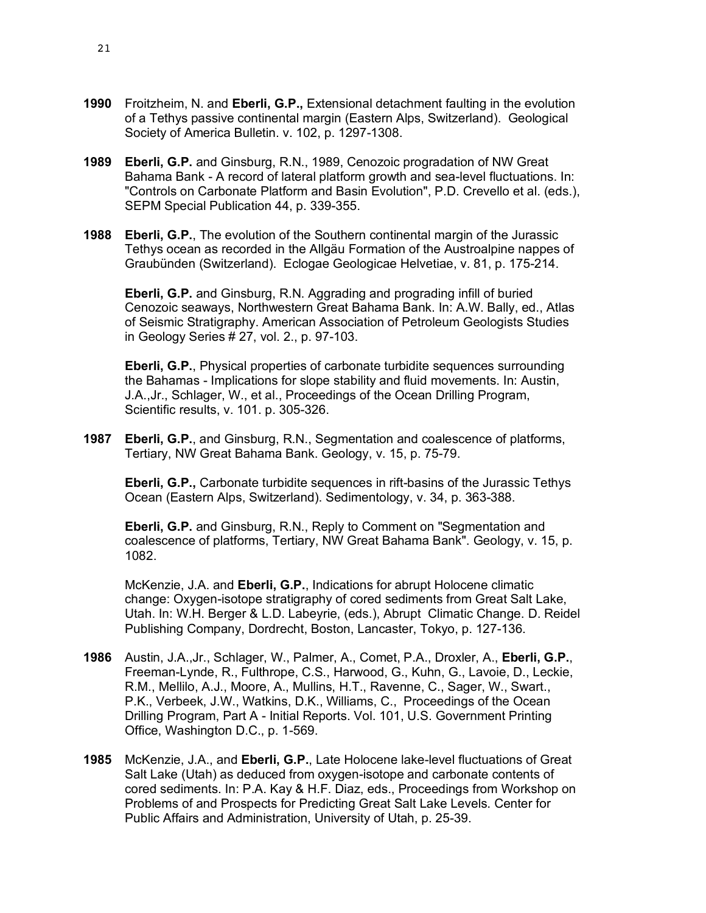- **1990** Froitzheim, N. and **Eberli, G.P.,** Extensional detachment faulting in the evolution of a Tethys passive continental margin (Eastern Alps, Switzerland). Geological Society of America Bulletin. v. 102, p. 1297-1308.
- **1989 Eberli, G.P.** and Ginsburg, R.N., 1989, Cenozoic progradation of NW Great Bahama Bank - A record of lateral platform growth and sea-level fluctuations. In: "Controls on Carbonate Platform and Basin Evolution", P.D. Crevello et al. (eds.), SEPM Special Publication 44, p. 339-355.
- **1988 Eberli, G.P.**, The evolution of the Southern continental margin of the Jurassic Tethys ocean as recorded in the Allgäu Formation of the Austroalpine nappes of Graubünden (Switzerland). Eclogae Geologicae Helvetiae, v. 81, p. 175-214.

**Eberli, G.P.** and Ginsburg, R.N. Aggrading and prograding infill of buried Cenozoic seaways, Northwestern Great Bahama Bank. In: A.W. Bally, ed., Atlas of Seismic Stratigraphy. American Association of Petroleum Geologists Studies in Geology Series # 27, vol. 2., p. 97-103.

**Eberli, G.P.**, Physical properties of carbonate turbidite sequences surrounding the Bahamas - Implications for slope stability and fluid movements. In: Austin, J.A.,Jr., Schlager, W., et al., Proceedings of the Ocean Drilling Program, Scientific results, v. 101. p. 305-326.

**1987 Eberli, G.P.**, and Ginsburg, R.N., Segmentation and coalescence of platforms, Tertiary, NW Great Bahama Bank. Geology, v. 15, p. 75-79.

**Eberli, G.P.,** Carbonate turbidite sequences in rift-basins of the Jurassic Tethys Ocean (Eastern Alps, Switzerland). Sedimentology, v. 34, p. 363-388.

**Eberli, G.P.** and Ginsburg, R.N., Reply to Comment on "Segmentation and coalescence of platforms, Tertiary, NW Great Bahama Bank". Geology, v. 15, p. 1082.

McKenzie, J.A. and **Eberli, G.P.**, Indications for abrupt Holocene climatic change: Oxygen-isotope stratigraphy of cored sediments from Great Salt Lake, Utah. In: W.H. Berger & L.D. Labeyrie, (eds.), Abrupt Climatic Change. D. Reidel Publishing Company, Dordrecht, Boston, Lancaster, Tokyo, p. 127-136.

- **1986** Austin, J.A.,Jr., Schlager, W., Palmer, A., Comet, P.A., Droxler, A., **Eberli, G.P.**, Freeman-Lynde, R., Fulthrope, C.S., Harwood, G., Kuhn, G., Lavoie, D., Leckie, R.M., Mellilo, A.J., Moore, A., Mullins, H.T., Ravenne, C., Sager, W., Swart., P.K., Verbeek, J.W., Watkins, D.K., Williams, C., Proceedings of the Ocean Drilling Program, Part A - Initial Reports. Vol. 101, U.S. Government Printing Office, Washington D.C., p. 1-569.
- **1985** McKenzie, J.A., and **Eberli, G.P.**, Late Holocene lake-level fluctuations of Great Salt Lake (Utah) as deduced from oxygen-isotope and carbonate contents of cored sediments. In: P.A. Kay & H.F. Diaz, eds., Proceedings from Workshop on Problems of and Prospects for Predicting Great Salt Lake Levels. Center for Public Affairs and Administration, University of Utah, p. 25-39.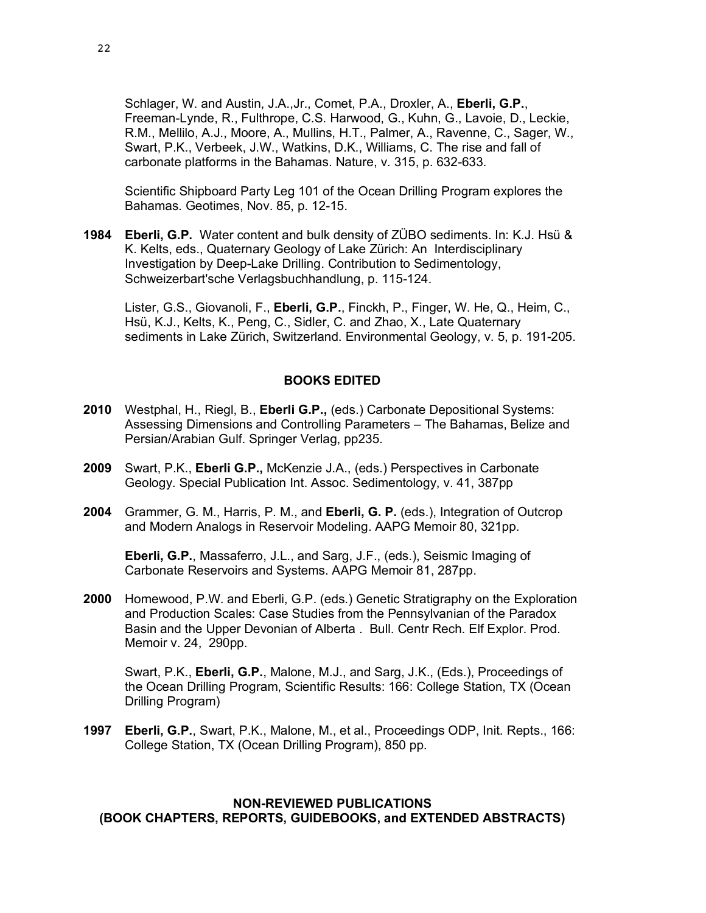Schlager, W. and Austin, J.A.,Jr., Comet, P.A., Droxler, A., **Eberli, G.P.**, Freeman-Lynde, R., Fulthrope, C.S. Harwood, G., Kuhn, G., Lavoie, D., Leckie, R.M., Mellilo, A.J., Moore, A., Mullins, H.T., Palmer, A., Ravenne, C., Sager, W., Swart, P.K., Verbeek, J.W., Watkins, D.K., Williams, C. The rise and fall of carbonate platforms in the Bahamas. Nature, v. 315, p. 632-633.

Scientific Shipboard Party Leg 101 of the Ocean Drilling Program explores the Bahamas. Geotimes, Nov. 85, p. 12-15.

**1984 Eberli, G.P.** Water content and bulk density of ZÜBO sediments. In: K.J. Hsü & K. Kelts, eds., Quaternary Geology of Lake Zürich: An Interdisciplinary Investigation by Deep-Lake Drilling. Contribution to Sedimentology, Schweizerbart'sche Verlagsbuchhandlung, p. 115-124.

Lister, G.S., Giovanoli, F., **Eberli, G.P.**, Finckh, P., Finger, W. He, Q., Heim, C., Hsü, K.J., Kelts, K., Peng, C., Sidler, C. and Zhao, X., Late Quaternary sediments in Lake Zürich, Switzerland. Environmental Geology, v. 5, p. 191-205.

## **BOOKS EDITED**

- **2010** Westphal, H., Riegl, B., **Eberli G.P.,** (eds.) Carbonate Depositional Systems: Assessing Dimensions and Controlling Parameters – The Bahamas, Belize and Persian/Arabian Gulf. Springer Verlag, pp235.
- **2009** Swart, P.K., **Eberli G.P.,** McKenzie J.A., (eds.) Perspectives in Carbonate Geology. Special Publication Int. Assoc. Sedimentology, v. 41, 387pp
- **2004** Grammer, G. M., Harris, P. M., and **Eberli, G. P.** (eds.), Integration of Outcrop and Modern Analogs in Reservoir Modeling. AAPG Memoir 80, 321pp.

**Eberli, G.P.**, Massaferro, J.L., and Sarg, J.F., (eds.), Seismic Imaging of Carbonate Reservoirs and Systems. AAPG Memoir 81, 287pp.

**2000** Homewood, P.W. and Eberli, G.P. (eds.) Genetic Stratigraphy on the Exploration and Production Scales: Case Studies from the Pennsylvanian of the Paradox Basin and the Upper Devonian of Alberta . Bull. Centr Rech. Elf Explor. Prod. Memoir v. 24, 290pp.

Swart, P.K., **Eberli, G.P.**, Malone, M.J., and Sarg, J.K., (Eds.), Proceedings of the Ocean Drilling Program, Scientific Results: 166: College Station, TX (Ocean Drilling Program)

**1997 Eberli, G.P.**, Swart, P.K., Malone, M., et al., Proceedings ODP, Init. Repts., 166: College Station, TX (Ocean Drilling Program), 850 pp.

## **NON-REVIEWED PUBLICATIONS (BOOK CHAPTERS, REPORTS, GUIDEBOOKS, and EXTENDED ABSTRACTS)**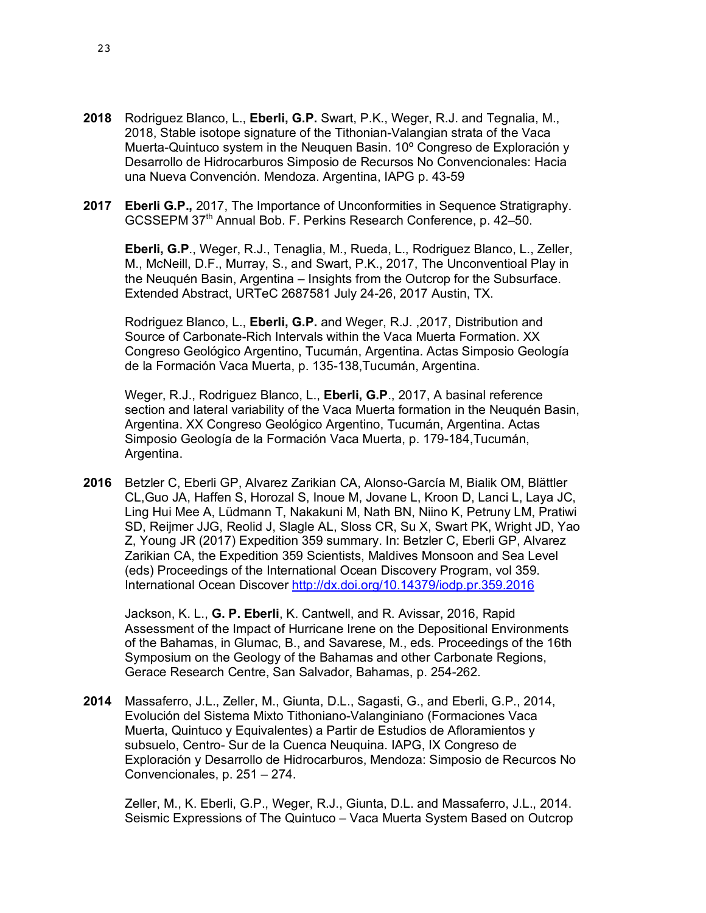- **2018** Rodriguez Blanco, L., **Eberli, G.P.** Swart, P.K., Weger, R.J. and Tegnalia, M., 2018, Stable isotope signature of the Tithonian-Valangian strata of the Vaca Muerta-Quintuco system in the Neuquen Basin. 10º Congreso de Exploración y Desarrollo de Hidrocarburos Simposio de Recursos No Convencionales: Hacia una Nueva Convención. Mendoza. Argentina, IAPG p. 43-59
- **2017 Eberli G.P.,** 2017, The Importance of Unconformities in Sequence Stratigraphy. GCSSEPM 37<sup>th</sup> Annual Bob. F. Perkins Research Conference, p. 42–50.

**Eberli, G.P**., Weger, R.J., Tenaglia, M., Rueda, L., Rodriguez Blanco, L., Zeller, M., McNeill, D.F., Murray, S., and Swart, P.K., 2017, The Unconventioal Play in the Neuquén Basin, Argentina – Insights from the Outcrop for the Subsurface. Extended Abstract, URTeC 2687581 July 24-26, 2017 Austin, TX.

Rodriguez Blanco, L., **Eberli, G.P.** and Weger, R.J. ,2017, Distribution and Source of Carbonate-Rich Intervals within the Vaca Muerta Formation. XX Congreso Geológico Argentino, Tucumán, Argentina. Actas Simposio Geología de la Formación Vaca Muerta, p. 135-138,Tucumán, Argentina.

Weger, R.J., Rodriguez Blanco, L., **Eberli, G.P**., 2017, A basinal reference section and lateral variability of the Vaca Muerta formation in the Neuquén Basin, Argentina. XX Congreso Geológico Argentino, Tucumán, Argentina. Actas Simposio Geología de la Formación Vaca Muerta, p. 179-184,Tucumán, Argentina.

**2016** Betzler C, Eberli GP, Alvarez Zarikian CA, Alonso-García M, Bialik OM, Blättler CL,Guo JA, Haffen S, Horozal S, Inoue M, Jovane L, Kroon D, Lanci L, Laya JC, Ling Hui Mee A, Lüdmann T, Nakakuni M, Nath BN, Niino K, Petruny LM, Pratiwi SD, Reijmer JJG, Reolid J, Slagle AL, Sloss CR, Su X, Swart PK, Wright JD, Yao Z, Young JR (2017) Expedition 359 summary. In: Betzler C, Eberli GP, Alvarez Zarikian CA, the Expedition 359 Scientists, Maldives Monsoon and Sea Level (eds) Proceedings of the International Ocean Discovery Program, vol 359. International Ocean Discover http://dx.doi.org/10.14379/iodp.pr.359.2016

Jackson, K. L., **G. P. Eberli**, K. Cantwell, and R. Avissar, 2016, Rapid Assessment of the Impact of Hurricane Irene on the Depositional Environments of the Bahamas, in Glumac, B., and Savarese, M., eds. Proceedings of the 16th Symposium on the Geology of the Bahamas and other Carbonate Regions, Gerace Research Centre, San Salvador, Bahamas, p. 254-262.

**2014** Massaferro, J.L., Zeller, M., Giunta, D.L., Sagasti, G., and Eberli, G.P., 2014, Evolución del Sistema Mixto Tithoniano-Valanginiano (Formaciones Vaca Muerta, Quintuco y Equivalentes) a Partir de Estudios de Afloramientos y subsuelo, Centro- Sur de la Cuenca Neuquina. IAPG, IX Congreso de Exploración y Desarrollo de Hidrocarburos, Mendoza: Simposio de Recurcos No Convencionales, p. 251 – 274.

Zeller, M., K. Eberli, G.P., Weger, R.J., Giunta, D.L. and Massaferro, J.L., 2014. Seismic Expressions of The Quintuco – Vaca Muerta System Based on Outcrop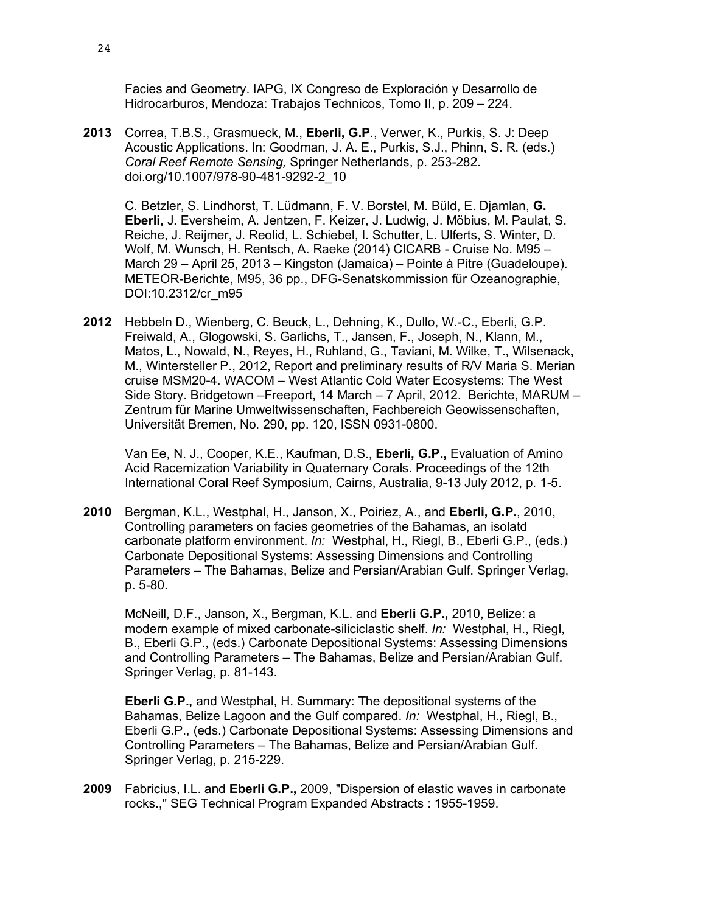Facies and Geometry. IAPG, IX Congreso de Exploración y Desarrollo de Hidrocarburos, Mendoza: Trabajos Technicos, Tomo II, p. 209 – 224.

**2013** Correa, T.B.S., Grasmueck, M., **Eberli, G.P**., Verwer, K., Purkis, S. J: Deep Acoustic Applications. In: Goodman, J. A. E., Purkis, S.J., Phinn, S. R. (eds.) *Coral Reef Remote Sensing,* Springer Netherlands, p. 253-282. doi.org/10.1007/978-90-481-9292-2\_10

C. Betzler, S. Lindhorst, T. Lüdmann, F. V. Borstel, M. Büld, E. Djamlan, **G. Eberli,** J. Eversheim, A. Jentzen, F. Keizer, J. Ludwig, J. Möbius, M. Paulat, S. Reiche, J. Reijmer, J. Reolid, L. Schiebel, I. Schutter, L. Ulferts, S. Winter, D. Wolf, M. Wunsch, H. Rentsch, A. Raeke (2014) CICARB - Cruise No. M95 – March 29 – April 25, 2013 – Kingston (Jamaica) – Pointe à Pitre (Guadeloupe). METEOR-Berichte, M95, 36 pp., DFG-Senatskommission für Ozeanographie, DOI:10.2312/cr\_m95

**2012** Hebbeln D., Wienberg, C. Beuck, L., Dehning, K., Dullo, W.-C., Eberli, G.P. Freiwald, A., Glogowski, S. Garlichs, T., Jansen, F., Joseph, N., Klann, M., Matos, L., Nowald, N., Reyes, H., Ruhland, G., Taviani, M. Wilke, T., Wilsenack, M., Wintersteller P., 2012, Report and preliminary results of R/V Maria S. Merian cruise MSM20-4. WACOM – West Atlantic Cold Water Ecosystems: The West Side Story. Bridgetown –Freeport, 14 March – 7 April, 2012. Berichte, MARUM – Zentrum für Marine Umweltwissenschaften, Fachbereich Geowissenschaften, Universität Bremen, No. 290, pp. 120, ISSN 0931-0800.

Van Ee, N. J., Cooper, K.E., Kaufman, D.S., **Eberli, G.P.,** Evaluation of Amino Acid Racemization Variability in Quaternary Corals. Proceedings of the 12th International Coral Reef Symposium, Cairns, Australia, 9-13 July 2012, p. 1-5.

**2010** Bergman, K.L., Westphal, H., Janson, X., Poiriez, A., and **Eberli, G.P.**, 2010, Controlling parameters on facies geometries of the Bahamas, an isolatd carbonate platform environment. *In:* Westphal, H., Riegl, B., Eberli G.P., (eds.) Carbonate Depositional Systems: Assessing Dimensions and Controlling Parameters – The Bahamas, Belize and Persian/Arabian Gulf. Springer Verlag, p. 5-80.

McNeill, D.F., Janson, X., Bergman, K.L. and **Eberli G.P.,** 2010, Belize: a modern example of mixed carbonate-siliciclastic shelf. *In:* Westphal, H., Riegl, B., Eberli G.P., (eds.) Carbonate Depositional Systems: Assessing Dimensions and Controlling Parameters – The Bahamas, Belize and Persian/Arabian Gulf. Springer Verlag, p. 81-143.

**Eberli G.P.,** and Westphal, H. Summary: The depositional systems of the Bahamas, Belize Lagoon and the Gulf compared. *In:* Westphal, H., Riegl, B., Eberli G.P., (eds.) Carbonate Depositional Systems: Assessing Dimensions and Controlling Parameters – The Bahamas, Belize and Persian/Arabian Gulf. Springer Verlag, p. 215-229.

**2009** Fabricius, I.L. and **Eberli G.P.,** 2009, "Dispersion of elastic waves in carbonate rocks.," SEG Technical Program Expanded Abstracts : 1955-1959.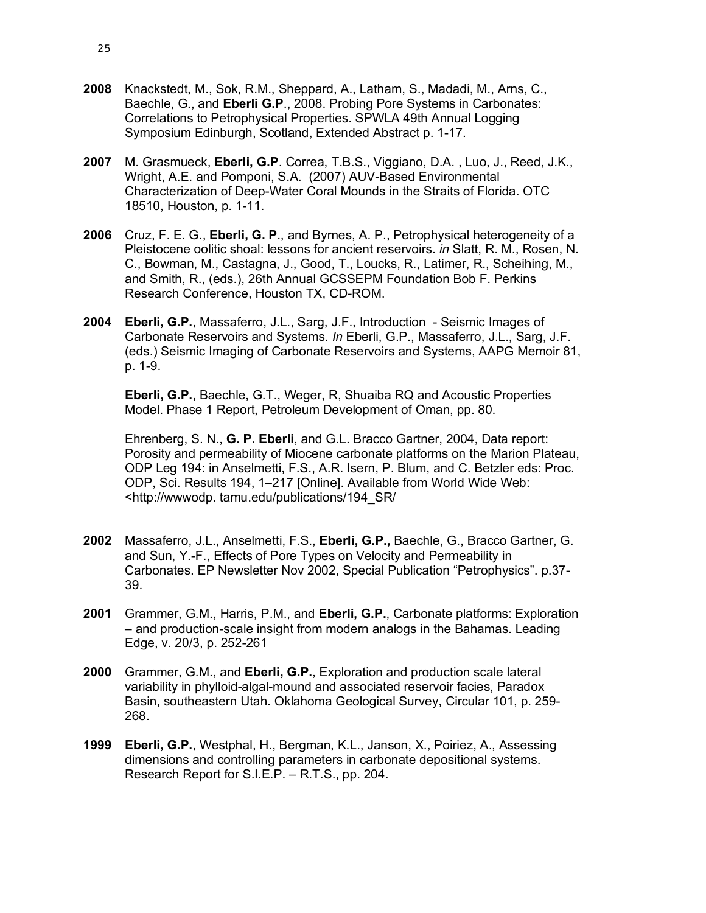- **2008** Knackstedt, M., Sok, R.M., Sheppard, A., Latham, S., Madadi, M., Arns, C., Baechle, G., and **Eberli G.P**., 2008. Probing Pore Systems in Carbonates: Correlations to Petrophysical Properties. SPWLA 49th Annual Logging Symposium Edinburgh, Scotland, Extended Abstract p. 1-17.
- **2007** M. Grasmueck, **Eberli, G.P**. Correa, T.B.S., Viggiano, D.A. , Luo, J., Reed, J.K., Wright, A.E. and Pomponi, S.A. (2007) AUV-Based Environmental Characterization of Deep-Water Coral Mounds in the Straits of Florida. OTC 18510, Houston, p. 1-11.
- **2006** Cruz, F. E. G., **Eberli, G. P**., and Byrnes, A. P., Petrophysical heterogeneity of a Pleistocene oolitic shoal: lessons for ancient reservoirs. *in* Slatt, R. M., Rosen, N. C., Bowman, M., Castagna, J., Good, T., Loucks, R., Latimer, R., Scheihing, M., and Smith, R., (eds.), 26th Annual GCSSEPM Foundation Bob F. Perkins Research Conference, Houston TX, CD-ROM.
- **2004 Eberli, G.P.**, Massaferro, J.L., Sarg, J.F., Introduction Seismic Images of Carbonate Reservoirs and Systems. *In* Eberli, G.P., Massaferro, J.L., Sarg, J.F. (eds.) Seismic Imaging of Carbonate Reservoirs and Systems, AAPG Memoir 81, p. 1-9.

**Eberli, G.P.**, Baechle, G.T., Weger, R, Shuaiba RQ and Acoustic Properties Model. Phase 1 Report, Petroleum Development of Oman, pp. 80.

Ehrenberg, S. N., **G. P. Eberli**, and G.L. Bracco Gartner, 2004, Data report: Porosity and permeability of Miocene carbonate platforms on the Marion Plateau, ODP Leg 194: in Anselmetti, F.S., A.R. Isern, P. Blum, and C. Betzler eds: Proc. ODP, Sci. Results 194, 1–217 [Online]. Available from World Wide Web: <http://wwwodp. tamu.edu/publications/194\_SR/

- **2002** Massaferro, J.L., Anselmetti, F.S., **Eberli, G.P.,** Baechle, G., Bracco Gartner, G. and Sun, Y.-F., Effects of Pore Types on Velocity and Permeability in Carbonates. EP Newsletter Nov 2002, Special Publication "Petrophysics". p.37- 39.
- **2001** Grammer, G.M., Harris, P.M., and **Eberli, G.P.**, Carbonate platforms: Exploration – and production-scale insight from modern analogs in the Bahamas. Leading Edge, v. 20/3, p. 252-261
- **2000** Grammer, G.M., and **Eberli, G.P.**, Exploration and production scale lateral variability in phylloid-algal-mound and associated reservoir facies, Paradox Basin, southeastern Utah. Oklahoma Geological Survey, Circular 101, p. 259- 268.
- **1999 Eberli, G.P.**, Westphal, H., Bergman, K.L., Janson, X., Poiriez, A., Assessing dimensions and controlling parameters in carbonate depositional systems. Research Report for S.I.E.P. – R.T.S., pp. 204.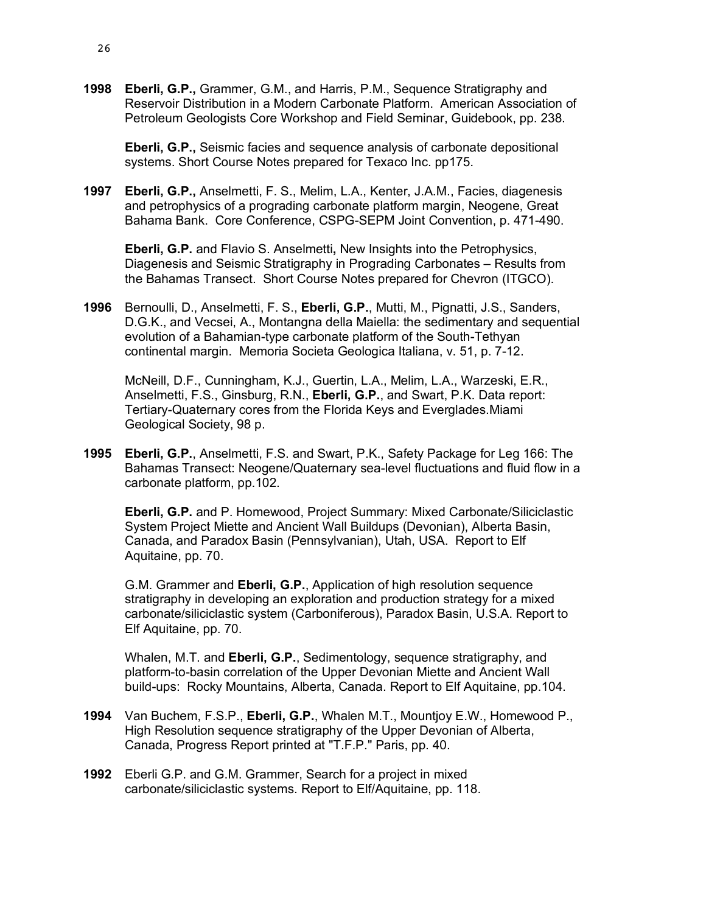**1998 Eberli, G.P.,** Grammer, G.M., and Harris, P.M., Sequence Stratigraphy and Reservoir Distribution in a Modern Carbonate Platform. American Association of Petroleum Geologists Core Workshop and Field Seminar, Guidebook, pp. 238.

**Eberli, G.P.,** Seismic facies and sequence analysis of carbonate depositional systems. Short Course Notes prepared for Texaco Inc. pp175.

**1997 Eberli, G.P.,** Anselmetti, F. S., Melim, L.A., Kenter, J.A.M., Facies, diagenesis and petrophysics of a prograding carbonate platform margin, Neogene, Great Bahama Bank. Core Conference, CSPG-SEPM Joint Convention, p. 471-490.

**Eberli, G.P.** and Flavio S. Anselmetti**,** New Insights into the Petrophysics, Diagenesis and Seismic Stratigraphy in Prograding Carbonates – Results from the Bahamas Transect. Short Course Notes prepared for Chevron (ITGCO).

**1996** Bernoulli, D., Anselmetti, F. S., **Eberli, G.P.**, Mutti, M., Pignatti, J.S., Sanders, D.G.K., and Vecsei, A., Montangna della Maiella: the sedimentary and sequential evolution of a Bahamian-type carbonate platform of the South-Tethyan continental margin. Memoria Societa Geologica Italiana, v. 51, p. 7-12.

McNeill, D.F., Cunningham, K.J., Guertin, L.A., Melim, L.A., Warzeski, E.R., Anselmetti, F.S., Ginsburg, R.N., **Eberli, G.P.**, and Swart, P.K. Data report: Tertiary-Quaternary cores from the Florida Keys and Everglades.Miami Geological Society, 98 p.

**1995 Eberli, G.P.**, Anselmetti, F.S. and Swart, P.K., Safety Package for Leg 166: The Bahamas Transect: Neogene/Quaternary sea-level fluctuations and fluid flow in a carbonate platform, pp.102.

**Eberli, G.P.** and P. Homewood, Project Summary: Mixed Carbonate/Siliciclastic System Project Miette and Ancient Wall Buildups (Devonian), Alberta Basin, Canada, and Paradox Basin (Pennsylvanian), Utah, USA. Report to Elf Aquitaine, pp. 70.

G.M. Grammer and **Eberli, G.P.**, Application of high resolution sequence stratigraphy in developing an exploration and production strategy for a mixed carbonate/siliciclastic system (Carboniferous), Paradox Basin, U.S.A. Report to Elf Aquitaine, pp. 70.

Whalen, M.T. and **Eberli, G.P.**, Sedimentology, sequence stratigraphy, and platform-to-basin correlation of the Upper Devonian Miette and Ancient Wall build-ups: Rocky Mountains, Alberta, Canada. Report to Elf Aquitaine, pp.104.

- **1994** Van Buchem, F.S.P., **Eberli, G.P.**, Whalen M.T., Mountjoy E.W., Homewood P., High Resolution sequence stratigraphy of the Upper Devonian of Alberta, Canada, Progress Report printed at "T.F.P." Paris, pp. 40.
- **1992** Eberli G.P. and G.M. Grammer, Search for a project in mixed carbonate/siliciclastic systems. Report to Elf/Aquitaine, pp. 118.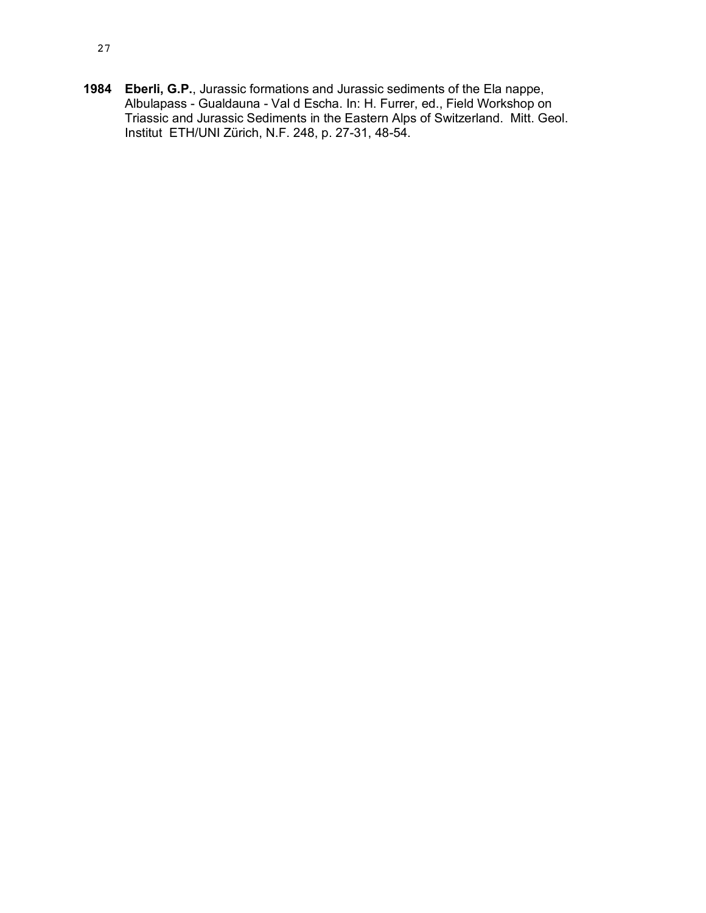**1984 Eberli, G.P.**, Jurassic formations and Jurassic sediments of the Ela nappe, Albulapass - Gualdauna - Val d Escha. In: H. Furrer, ed., Field Workshop on Triassic and Jurassic Sediments in the Eastern Alps of Switzerland. Mitt. Geol. Institut ETH/UNI Zürich, N.F. 248, p. 27-31, 48-54.